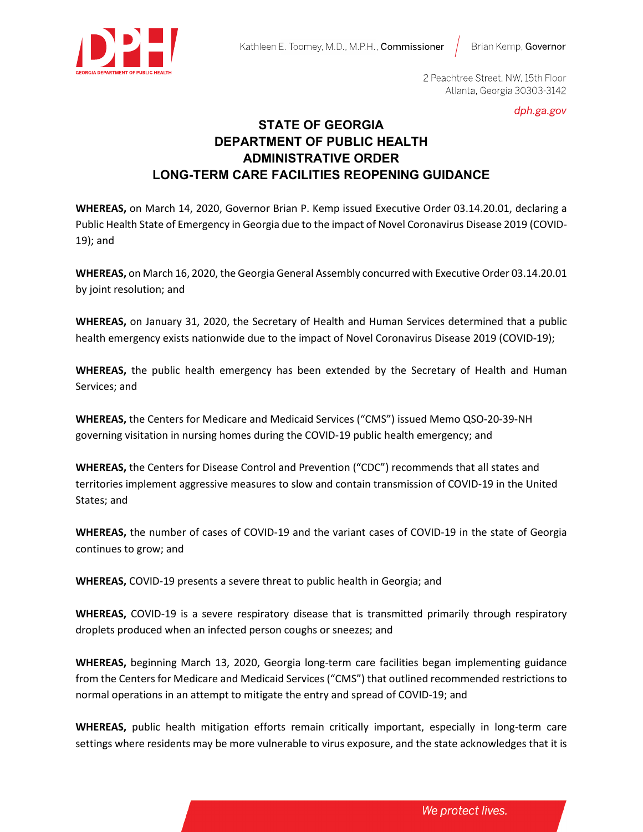

Brian Kemp, Governor



2 Peachtree Street, NW, 15th Floor Atlanta, Georgia 30303-3142

dph.ga.gov

# **STATE OF GEORGIA DEPARTMENT OF PUBLIC HEALTH ADMINISTRATIVE ORDER LONG-TERM CARE FACILITIES REOPENING GUIDANCE**

**WHEREAS,** on March 14, 2020, Governor Brian P. Kemp issued Executive Order 03.14.20.01, declaring a Public Health State of Emergency in Georgia due to the impact of Novel Coronavirus Disease 2019 (COVID-19); and

**WHEREAS,** on March 16, 2020, the Georgia General Assembly concurred with Executive Order 03.14.20.01 by joint resolution; and

**WHEREAS,** on January 31, 2020, the Secretary of Health and Human Services determined that a public health emergency exists nationwide due to the impact of Novel Coronavirus Disease 2019 (COVID-19);

**WHEREAS,** the public health emergency has been extended by the Secretary of Health and Human Services; and

**WHEREAS,** the Centers for Medicare and Medicaid Services ("CMS") issued Memo QSO-20-39-NH governing visitation in nursing homes during the COVID-19 public health emergency; and

**WHEREAS,** the Centers for Disease Control and Prevention ("CDC") recommends that all states and territories implement aggressive measures to slow and contain transmission of COVID-19 in the United States; and

**WHEREAS,** the number of cases of COVID-19 and the variant cases of COVID-19 in the state of Georgia continues to grow; and

**WHEREAS,** COVID-19 presents a severe threat to public health in Georgia; and

**WHEREAS,** COVID-19 is a severe respiratory disease that is transmitted primarily through respiratory droplets produced when an infected person coughs or sneezes; and

**WHEREAS,** beginning March 13, 2020, Georgia long-term care facilities began implementing guidance from the Centers for Medicare and Medicaid Services ("CMS") that outlined recommended restrictions to normal operations in an attempt to mitigate the entry and spread of COVID-19; and

**WHEREAS,** public health mitigation efforts remain critically important, especially in long-term care settings where residents may be more vulnerable to virus exposure, and the state acknowledges that it is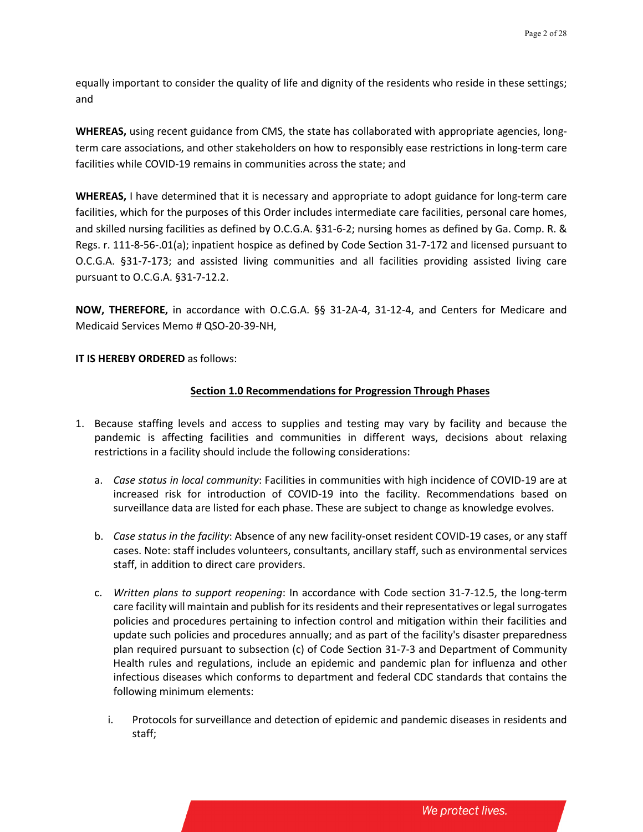equally important to consider the quality of life and dignity of the residents who reside in these settings; and

**WHEREAS,** using recent guidance from CMS, the state has collaborated with appropriate agencies, longterm care associations, and other stakeholders on how to responsibly ease restrictions in long-term care facilities while COVID-19 remains in communities across the state; and

**WHEREAS,** I have determined that it is necessary and appropriate to adopt guidance for long-term care facilities, which for the purposes of this Order includes intermediate care facilities, personal care homes, and skilled nursing facilities as defined by O.C.G.A. §31-6-2; nursing homes as defined by Ga. Comp. R. & Regs. r. 111-8-56-.01(a); inpatient hospice as defined by Code Section 31-7-172 and licensed pursuant to O.C.G.A. §31-7-173; and assisted living communities and all facilities providing assisted living care pursuant to O.C.G.A. §31-7-12.2.

**NOW, THEREFORE,** in accordance with O.C.G.A. §§ 31-2A-4, 31-12-4, and Centers for Medicare and Medicaid Services Memo # QSO-20-39-NH,

**IT IS HEREBY ORDERED** as follows:

# **Section 1.0 Recommendations for Progression Through Phases**

- 1. Because staffing levels and access to supplies and testing may vary by facility and because the pandemic is affecting facilities and communities in different ways, decisions about relaxing restrictions in a facility should include the following considerations:
	- a. *Case status in local community*: Facilities in communities with high incidence of COVID-19 are at increased risk for introduction of COVID-19 into the facility. Recommendations based on surveillance data are listed for each phase. These are subject to change as knowledge evolves.
	- b. *Case status in the facility*: Absence of any new facility-onset resident COVID-19 cases, or any staff cases. Note: staff includes volunteers, consultants, ancillary staff, such as environmental services staff, in addition to direct care providers.
	- c. *Written plans to support reopening*: In accordance with Code section 31-7-12.5, the long-term care facility will maintain and publish for its residents and their representatives or legal surrogates policies and procedures pertaining to infection control and mitigation within their facilities and update such policies and procedures annually; and as part of the facility's disaster preparedness plan required pursuant to subsection (c) of Code Section 31-7-3 and Department of Community Health rules and regulations, include an epidemic and pandemic plan for influenza and other infectious diseases which conforms to department and federal CDC standards that contains the following minimum elements:
		- i. Protocols for surveillance and detection of epidemic and pandemic diseases in residents and staff;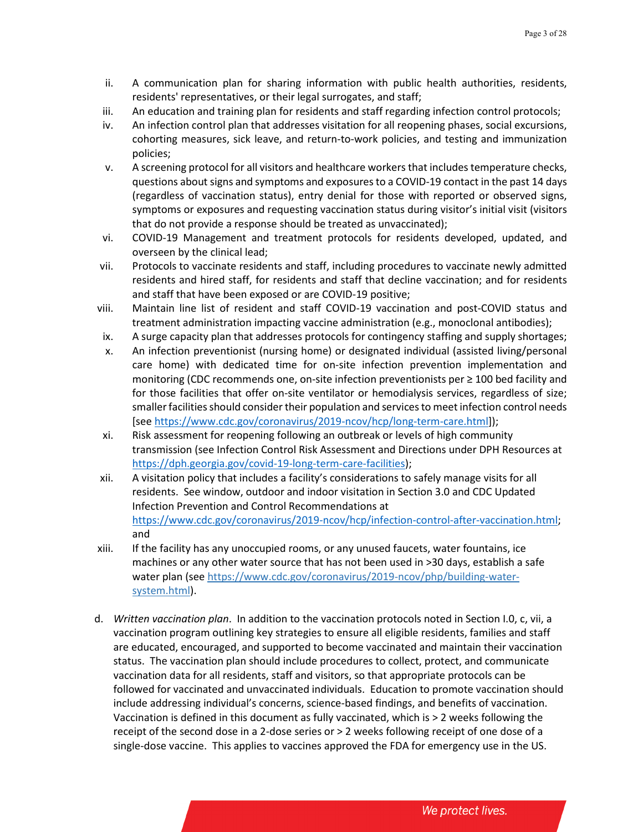- ii. A communication plan for sharing information with public health authorities, residents, residents' representatives, or their legal surrogates, and staff;
- iii. An education and training plan for residents and staff regarding infection control protocols;
- iv. An infection control plan that addresses visitation for all reopening phases, social excursions, cohorting measures, sick leave, and return-to-work policies, and testing and immunization policies;
- v. A screening protocol for all visitors and healthcare workers that includes temperature checks, questions about signs and symptoms and exposures to a COVID-19 contact in the past 14 days (regardless of vaccination status), entry denial for those with reported or observed signs, symptoms or exposures and requesting vaccination status during visitor's initial visit (visitors that do not provide a response should be treated as unvaccinated);
- vi. COVID-19 Management and treatment protocols for residents developed, updated, and overseen by the clinical lead;
- vii. Protocols to vaccinate residents and staff, including procedures to vaccinate newly admitted residents and hired staff, for residents and staff that decline vaccination; and for residents and staff that have been exposed or are COVID-19 positive;
- viii. Maintain line list of resident and staff COVID-19 vaccination and post-COVID status and treatment administration impacting vaccine administration (e.g., monoclonal antibodies);
- ix. A surge capacity plan that addresses protocols for contingency staffing and supply shortages;
- x. An infection preventionist (nursing home) or designated individual (assisted living/personal care home) with dedicated time for on-site infection prevention implementation and monitoring (CDC recommends one, on-site infection preventionists per ≥ 100 bed facility and for those facilities that offer on-site ventilator or hemodialysis services, regardless of size; smaller facilities should consider their population and services to meet infection control needs [see [https://www.cdc.gov/coronavirus/2019-ncov/hcp/long-term-care.html\]](https://www.cdc.gov/coronavirus/2019-ncov/hcp/long-term-care.html));
- xi. Risk assessment for reopening following an outbreak or levels of high community transmission (see Infection Control Risk Assessment and Directions under DPH Resources at [https://dph.georgia.gov/covid-19-long-term-care-facilities\)](https://dph.georgia.gov/covid-19-long-term-care-facilities);
- xii. A visitation policy that includes a facility's considerations to safely manage visits for all residents. See window, outdoor and indoor visitation in Section 3.0 and CDC Updated Infection Prevention and Control Recommendations at [https://www.cdc.gov/coronavirus/2019-ncov/hcp/infection-control-after-vaccination.html;](https://www.cdc.gov/coronavirus/2019-ncov/hcp/infection-control-after-vaccination.html) and
- xiii. If the facility has any unoccupied rooms, or any unused faucets, water fountains, ice machines or any other water source that has not been used in >30 days, establish a safe water plan (se[e https://www.cdc.gov/coronavirus/2019-ncov/php/building-water](https://www.cdc.gov/coronavirus/2019-ncov/php/building-water-system.html)[system.html\)](https://www.cdc.gov/coronavirus/2019-ncov/php/building-water-system.html).
- d. *Written vaccination plan*. In addition to the vaccination protocols noted in Section I.0, c, vii, a vaccination program outlining key strategies to ensure all eligible residents, families and staff are educated, encouraged, and supported to become vaccinated and maintain their vaccination status. The vaccination plan should include procedures to collect, protect, and communicate vaccination data for all residents, staff and visitors, so that appropriate protocols can be followed for vaccinated and unvaccinated individuals. Education to promote vaccination should include addressing individual's concerns, science-based findings, and benefits of vaccination. Vaccination is defined in this document as fully vaccinated, which is > 2 weeks following the receipt of the second dose in a 2-dose series or > 2 weeks following receipt of one dose of a single-dose vaccine. This applies to vaccines approved the FDA for emergency use in the US.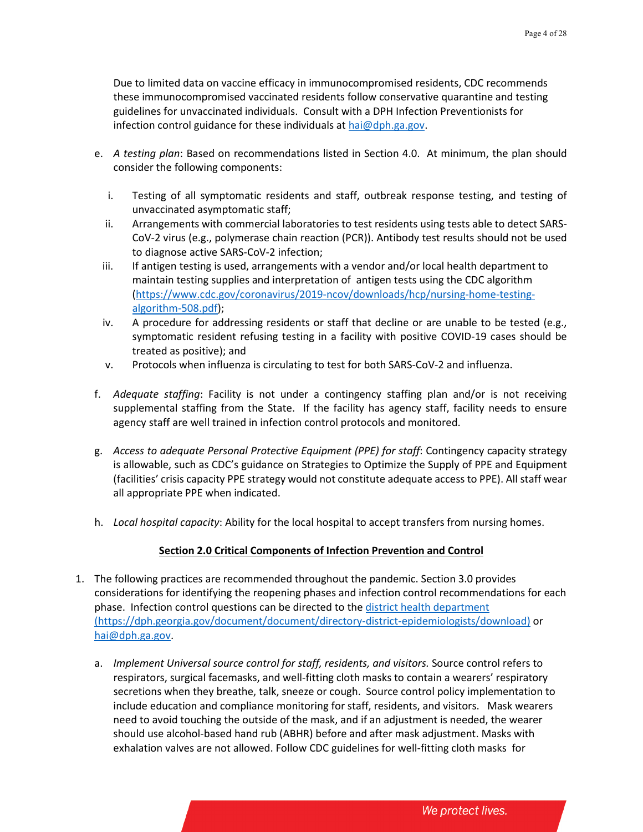Due to limited data on vaccine efficacy in immunocompromised residents, CDC recommends these immunocompromised vaccinated residents follow conservative quarantine and testing guidelines for unvaccinated individuals. Consult with a DPH Infection Preventionists for infection control guidance for these individuals at [hai@dph.ga.gov.](mailto:hai@dph.ga.gov)

- e. *A testing plan*: Based on recommendations listed in Section 4.0. At minimum, the plan should consider the following components:
	- i. Testing of all symptomatic residents and staff, outbreak response testing, and testing of unvaccinated asymptomatic staff;
	- ii. Arrangements with commercial laboratories to test residents using tests able to detect SARS-CoV-2 virus (e.g., polymerase chain reaction (PCR)). Antibody test results should not be used to diagnose active SARS-CoV-2 infection;
	- iii. If antigen testing is used, arrangements with a vendor and/or local health department to maintain testing supplies and interpretation of antigen tests using the CDC algorithm [\(https://www.cdc.gov/coronavirus/2019-ncov/downloads/hcp/nursing-home-testing](https://www.cdc.gov/coronavirus/2019-ncov/downloads/hcp/nursing-home-testing-algorithm-508.pdf)[algorithm-508.pdf\)](https://www.cdc.gov/coronavirus/2019-ncov/downloads/hcp/nursing-home-testing-algorithm-508.pdf);
	- iv. A procedure for addressing residents or staff that decline or are unable to be tested (e.g., symptomatic resident refusing testing in a facility with positive COVID-19 cases should be treated as positive); and
	- v. Protocols when influenza is circulating to test for both SARS-CoV-2 and influenza.
- f. *Adequate staffing*: Facility is not under a contingency staffing plan and/or is not receiving supplemental staffing from the State. If the facility has agency staff, facility needs to ensure agency staff are well trained in infection control protocols and monitored.
- g. *Access to adequate Personal Protective Equipment (PPE) for staff*: Contingency capacity strategy is allowable, such as CDC's guidance on Strategies to Optimize the Supply of PPE and Equipment (facilities' crisis capacity PPE strategy would not constitute adequate access to PPE). All staff wear all appropriate PPE when indicated.
- h. *Local hospital capacity*: Ability for the local hospital to accept transfers from nursing homes.

### **Section 2.0 Critical Components of Infection Prevention and Control**

- 1. The following practices are recommended throughout the pandemic. Section 3.0 provides considerations for identifying the reopening phases and infection control recommendations for each phase. Infection control questions can be directed to the [district health department](https://dph.georgia.gov/document/document/directory-district-epidemiologists/download) (https://dph.georgia.gov/document/document/directory-district-epidemiologists/download) or [hai@dph.ga.gov.](mailto:hai@dph.ga.gov)
	- a. *Implement Universal source control for staff, residents, and visitors.* Source control refers to respirators, surgical facemasks, and well-fitting cloth masks to contain a wearers' respiratory secretions when they breathe, talk, sneeze or cough. Source control policy implementation to include education and compliance monitoring for staff, residents, and visitors. Mask wearers need to avoid touching the outside of the mask, and if an adjustment is needed, the wearer should use alcohol-based hand rub (ABHR) before and after mask adjustment. Masks with exhalation valves are not allowed. Follow CDC guidelines for well-fitting cloth masks for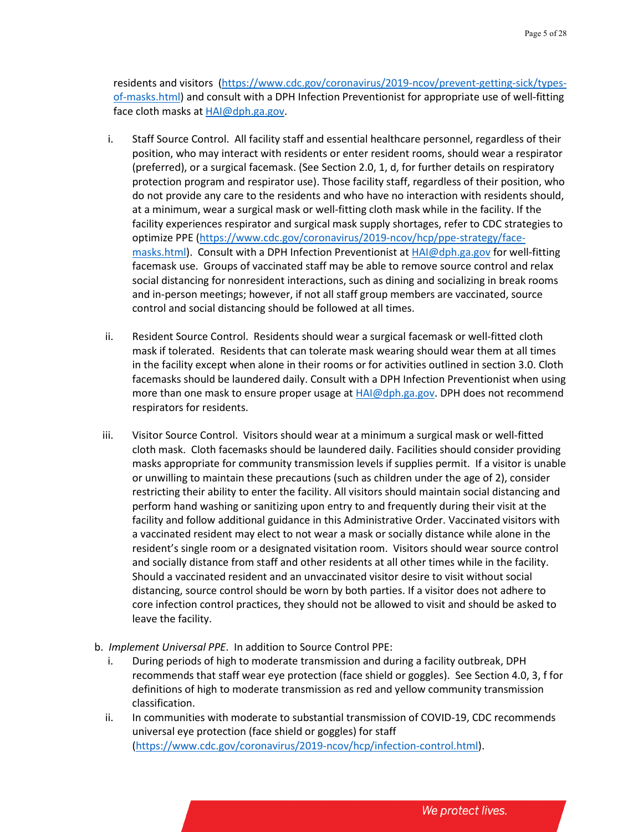residents and visitors [\(https://www.cdc.gov/coronavirus/2019-ncov/prevent-getting-sick/types](https://www.cdc.gov/coronavirus/2019-ncov/prevent-getting-sick/types-of-masks.html)[of-masks.html\)](https://www.cdc.gov/coronavirus/2019-ncov/prevent-getting-sick/types-of-masks.html) and consult with a DPH Infection Preventionist for appropriate use of well-fitting face cloth masks at [HAI@dph.ga.gov.](mailto:HAI@dph.ga.gov)

- i. Staff Source Control. All facility staff and essential healthcare personnel, regardless of their position, who may interact with residents or enter resident rooms, should wear a respirator (preferred), or a surgical facemask. (See Section 2.0, 1, d, for further details on respiratory protection program and respirator use). Those facility staff, regardless of their position, who do not provide any care to the residents and who have no interaction with residents should, at a minimum, wear a surgical mask or well-fitting cloth mask while in the facility. If the facility experiences respirator and surgical mask supply shortages, refer to CDC strategies to optimize PPE [\(https://www.cdc.gov/coronavirus/2019-ncov/hcp/ppe-strategy/face](https://www.cdc.gov/coronavirus/2019-ncov/hcp/ppe-strategy/face-masks.html)[masks.html\)](https://www.cdc.gov/coronavirus/2019-ncov/hcp/ppe-strategy/face-masks.html). Consult with a DPH Infection Preventionist at [HAI@dph.ga.gov](mailto:HAI@dph.ga.gov) for well-fitting facemask use. Groups of vaccinated staff may be able to remove source control and relax social distancing for nonresident interactions, such as dining and socializing in break rooms and in-person meetings; however, if not all staff group members are vaccinated, source control and social distancing should be followed at all times.
- ii. Resident Source Control. Residents should wear a surgical facemask or well-fitted cloth mask if tolerated. Residents that can tolerate mask wearing should wear them at all times in the facility except when alone in their rooms or for activities outlined in section 3.0. Cloth facemasks should be laundered daily. Consult with a DPH Infection Preventionist when using more than one mask to ensure proper usage at  $HA|@dph.ga.gov$ . DPH does not recommend respirators for residents.
- iii. Visitor Source Control. Visitors should wear at a minimum a surgical mask or well-fitted cloth mask. Cloth facemasks should be laundered daily. Facilities should consider providing masks appropriate for community transmission levels if supplies permit. If a visitor is unable or unwilling to maintain these precautions (such as children under the age of 2), consider restricting their ability to enter the facility. All visitors should maintain social distancing and perform hand washing or sanitizing upon entry to and frequently during their visit at the facility and follow additional guidance in this Administrative Order. Vaccinated visitors with a vaccinated resident may elect to not wear a mask or socially distance while alone in the resident's single room or a designated visitation room. Visitors should wear source control and socially distance from staff and other residents at all other times while in the facility. Should a vaccinated resident and an unvaccinated visitor desire to visit without social distancing, source control should be worn by both parties. If a visitor does not adhere to core infection control practices, they should not be allowed to visit and should be asked to leave the facility.
- b. *Implement Universal PPE*. In addition to Source Control PPE:
	- i. During periods of high to moderate transmission and during a facility outbreak, DPH recommends that staff wear eye protection (face shield or goggles). See Section 4.0, 3, f for definitions of high to moderate transmission as red and yellow community transmission classification.
	- ii. In communities with moderate to substantial transmission of COVID-19, CDC recommends universal eye protection (face shield or goggles) for staff [\(https://www.cdc.gov/coronavirus/2019-ncov/hcp/infection-control.html\)](https://www.cdc.gov/coronavirus/2019-ncov/hcp/infection-control.html).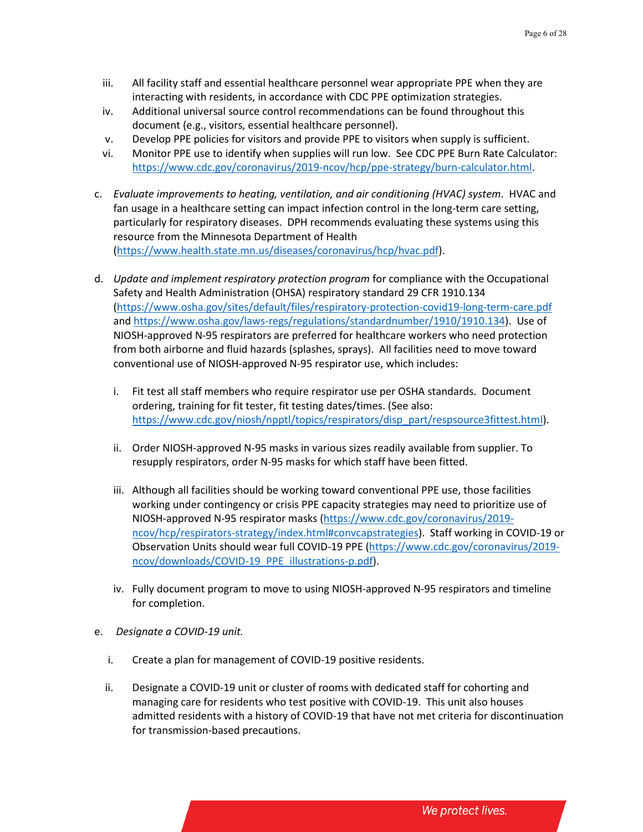- iii. All facility staff and essential healthcare personnel wear appropriate PPE when they are interacting with residents, in accordance with CDC PPE optimization strategies.
- iv. Additional universal source control recommendations can be found throughout this document (e.g., visitors, essential healthcare personnel).
- v. Develop PPE policies for visitors and provide PPE to visitors when supply is sufficient.
- vi. Monitor PPE use to identify when supplies will run low. See CDC PPE Burn Rate Calculator: [https://www.cdc.gov/coronavirus/2019-ncov/hcp/ppe-strategy/burn-calculator.html.](https://www.cdc.gov/coronavirus/2019-ncov/hcp/ppe-strategy/burn-calculator.html)
- c. *Evaluate improvements to heating, ventilation, and air conditioning (HVAC) system*. HVAC and fan usage in a healthcare setting can impact infection control in the long-term care setting, particularly for respiratory diseases. DPH recommends evaluating these systems using this resource from the Minnesota Department of Health [\(https://www.health.state.mn.us/diseases/coronavirus/hcp/hvac.pdf\)](https://www.health.state.mn.us/diseases/coronavirus/hcp/hvac.pdf).
- d. *Update and implement respiratory protection program* for compliance with the Occupational Safety and Health Administration (OHSA) respiratory standard 29 CFR 1910.134 [\(https://www.osha.gov/sites/default/files/respiratory-protection-covid19-long-term-care.pdf](https://www.osha.gov/sites/default/files/respiratory-protection-covid19-long-term-care.pdf) and [https://www.osha.gov/laws-regs/regulations/standardnumber/1910/1910.134\)](https://www.osha.gov/laws-regs/regulations/standardnumber/1910/1910.134). Use of NIOSH-approved N-95 respirators are preferred for healthcare workers who need protection from both airborne and fluid hazards (splashes, sprays). All facilities need to move toward conventional use of NIOSH-approved N-95 respirator use, which includes:
	- i. Fit test all staff members who require respirator use per OSHA standards. Document ordering, training for fit tester, fit testing dates/times. (See also: [https://www.cdc.gov/niosh/npptl/topics/respirators/disp\\_part/respsource3fittest.html\)](https://www.cdc.gov/niosh/npptl/topics/respirators/disp_part/respsource3fittest.html).
	- ii. Order NIOSH-approved N-95 masks in various sizes readily available from supplier. To resupply respirators, order N-95 masks for which staff have been fitted.
	- iii. Although all facilities should be working toward conventional PPE use, those facilities working under contingency or crisis PPE capacity strategies may need to prioritize use of NIOSH-approved N-95 respirator masks [\(https://www.cdc.gov/coronavirus/2019](https://www.cdc.gov/coronavirus/2019-ncov/hcp/respirators-strategy/index.html#convcapstrategies) [ncov/hcp/respirators-strategy/index.html#convcapstrategies\)](https://www.cdc.gov/coronavirus/2019-ncov/hcp/respirators-strategy/index.html#convcapstrategies). Staff working in COVID-19 or Observation Units should wear full COVID-19 PPE [\(https://www.cdc.gov/coronavirus/2019](https://gcc02.safelinks.protection.outlook.com/?url=https%3A%2F%2Fwww.cdc.gov%2Fcoronavirus%2F2019-ncov%2Fdownloads%2FCOVID-19_PPE_illustrations-p.pdf&data=04%7C01%7CJeanne.Negley%40dph.ga.gov%7C94555ccc16ec426e00ab08d91481c33a%7C512da10d071b4b948abc9ec4044d1516%7C0%7C0%7C637563369814110373%7CUnknown%7CTWFpbGZsb3d8eyJWIjoiMC4wLjAwMDAiLCJQIjoiV2luMzIiLCJBTiI6Ik1haWwiLCJXVCI6Mn0%3D%7C1000&sdata=XJJi4w8bIqXBNmrSL5Agb9c0nPaKfy4Lr1pVehaEYC8%3D&reserved=0) [ncov/downloads/COVID-19\\_PPE\\_illustrations-p.pdf\)](https://gcc02.safelinks.protection.outlook.com/?url=https%3A%2F%2Fwww.cdc.gov%2Fcoronavirus%2F2019-ncov%2Fdownloads%2FCOVID-19_PPE_illustrations-p.pdf&data=04%7C01%7CJeanne.Negley%40dph.ga.gov%7C94555ccc16ec426e00ab08d91481c33a%7C512da10d071b4b948abc9ec4044d1516%7C0%7C0%7C637563369814110373%7CUnknown%7CTWFpbGZsb3d8eyJWIjoiMC4wLjAwMDAiLCJQIjoiV2luMzIiLCJBTiI6Ik1haWwiLCJXVCI6Mn0%3D%7C1000&sdata=XJJi4w8bIqXBNmrSL5Agb9c0nPaKfy4Lr1pVehaEYC8%3D&reserved=0).
	- iv. Fully document program to move to using NIOSH-approved N-95 respirators and timeline for completion.
- e. *Designate a COVID-19 unit.* 
	- i. Create a plan for management of COVID-19 positive residents.
	- ii. Designate a COVID-19 unit or cluster of rooms with dedicated staff for cohorting and managing care for residents who test positive with COVID-19. This unit also houses admitted residents with a history of COVID-19 that have not met criteria for discontinuation for transmission-based precautions.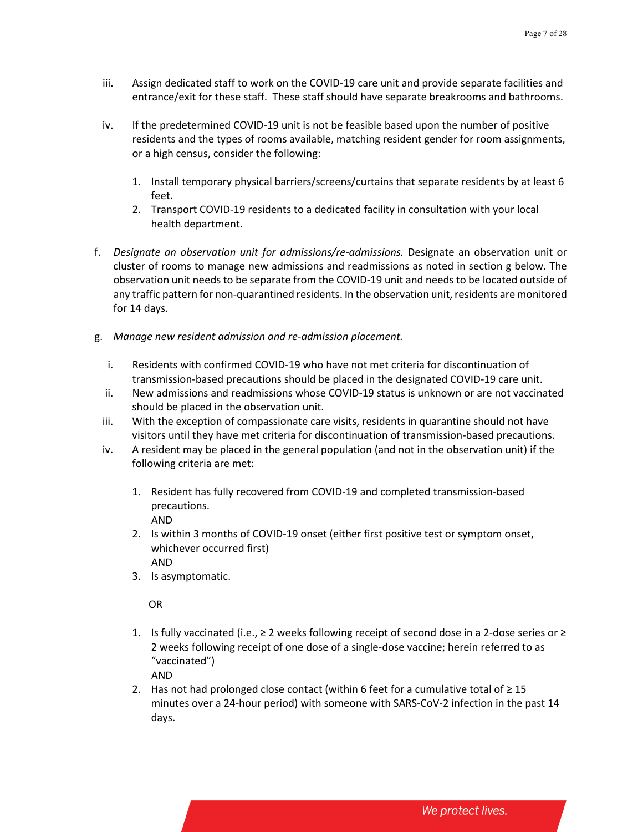- iii. Assign dedicated staff to work on the COVID-19 care unit and provide separate facilities and entrance/exit for these staff. These staff should have separate breakrooms and bathrooms.
- iv. If the predetermined COVID-19 unit is not be feasible based upon the number of positive residents and the types of rooms available, matching resident gender for room assignments, or a high census, consider the following:
	- 1. Install temporary physical barriers/screens/curtains that separate residents by at least 6 feet.
	- 2. Transport COVID-19 residents to a dedicated facility in consultation with your local health department.
- f. *Designate an observation unit for admissions/re-admissions.* Designate an observation unit or cluster of rooms to manage new admissions and readmissions as noted in section g below. The observation unit needs to be separate from the COVID-19 unit and needs to be located outside of any traffic pattern for non-quarantined residents. In the observation unit, residents are monitored for 14 days.
- g. *Manage new resident admission and re-admission placement.* 
	- i. Residents with confirmed COVID-19 who have not met criteria for discontinuation of transmission-based precautions should be placed in the designated COVID-19 care unit.
	- ii. New admissions and readmissions whose COVID-19 status is unknown or are not vaccinated should be placed in the observation unit.
	- iii. With the exception of compassionate care visits, residents in quarantine should not have visitors until they have met criteria for discontinuation of transmission-based precautions.
	- iv. A resident may be placed in the general population (and not in the observation unit) if the following criteria are met:
		- 1. Resident has fully recovered from COVID-19 and completed transmission-based precautions. AND
		- 2. Is within 3 months of COVID-19 onset (either first positive test or symptom onset, whichever occurred first) AND
		- 3. Is asymptomatic.

OR

1. Is fully vaccinated (i.e., ≥ 2 weeks following receipt of second dose in a 2-dose series or ≥ 2 weeks following receipt of one dose of a single-dose vaccine; herein referred to as "vaccinated")

AND

2. Has not had prolonged close contact (within 6 feet for a cumulative total of  $\geq 15$ minutes over a 24-hour period) with someone with SARS-CoV-2 infection in the past 14 days.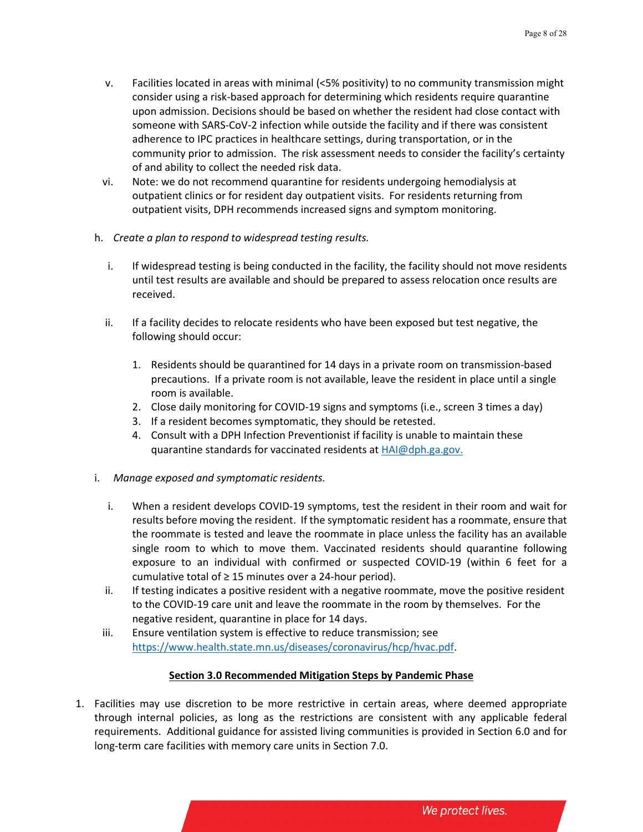- v. Facilities located in areas with minimal (<5% positivity) to no community transmission might consider using a risk-based approach for determining which residents require quarantine upon admission. Decisions should be based on whether the resident had close contact with someone with SARS-CoV-2 infection while outside the facility and if there was consistent adherence to IPC practices in healthcare settings, during transportation, or in the community prior to admission. The risk assessment needs to consider the facility's certainty of and ability to collect the needed risk data.
- vi. Note: we do not recommend quarantine for residents undergoing hemodialysis at outpatient clinics or for resident day outpatient visits. For residents returning from outpatient visits, DPH recommends increased signs and symptom monitoring.
- h. *Create a plan to respond to widespread testing results.*
	- i. If widespread testing is being conducted in the facility, the facility should not move residents until test results are available and should be prepared to assess relocation once results are received.
	- ii. If a facility decides to relocate residents who have been exposed but test negative, the following should occur:
		- 1. Residents should be quarantined for 14 days in a private room on transmission-based precautions. If a private room is not available, leave the resident in place until a single room is available.
		- 2. Close daily monitoring for COVID-19 signs and symptoms (i.e., screen 3 times a day)
		- 3. If a resident becomes symptomatic, they should be retested.
		- 4. Consult with a DPH Infection Preventionist if facility is unable to maintain these quarantine standards for vaccinated residents at [HAI@dph.ga.gov.](mailto:HAI@dph.ga.gov)
- i. *Manage exposed and symptomatic residents.*
	- i. When a resident develops COVID-19 symptoms, test the resident in their room and wait for results before moving the resident. If the symptomatic resident has a roommate, ensure that the roommate is tested and leave the roommate in place unless the facility has an available single room to which to move them. Vaccinated residents should quarantine following exposure to an individual with confirmed or suspected COVID-19 (within 6 feet for a cumulative total of  $\geq$  15 minutes over a 24-hour period).
	- ii. If testing indicates a positive resident with a negative roommate, move the positive resident to the COVID-19 care unit and leave the roommate in the room by themselves. For the negative resident, quarantine in place for 14 days.
	- iii. Ensure ventilation system is effective to reduce transmission; see [https://www.health.state.mn.us/diseases/coronavirus/hcp/hvac.pdf.](https://www.health.state.mn.us/diseases/coronavirus/hcp/hvac.pdf)

### **Section 3.0 Recommended Mitigation Steps by Pandemic Phase**

1. Facilities may use discretion to be more restrictive in certain areas, where deemed appropriate through internal policies, as long as the restrictions are consistent with any applicable federal requirements. Additional guidance for assisted living communities is provided in Section 6.0 and for long-term care facilities with memory care units in Section 7.0.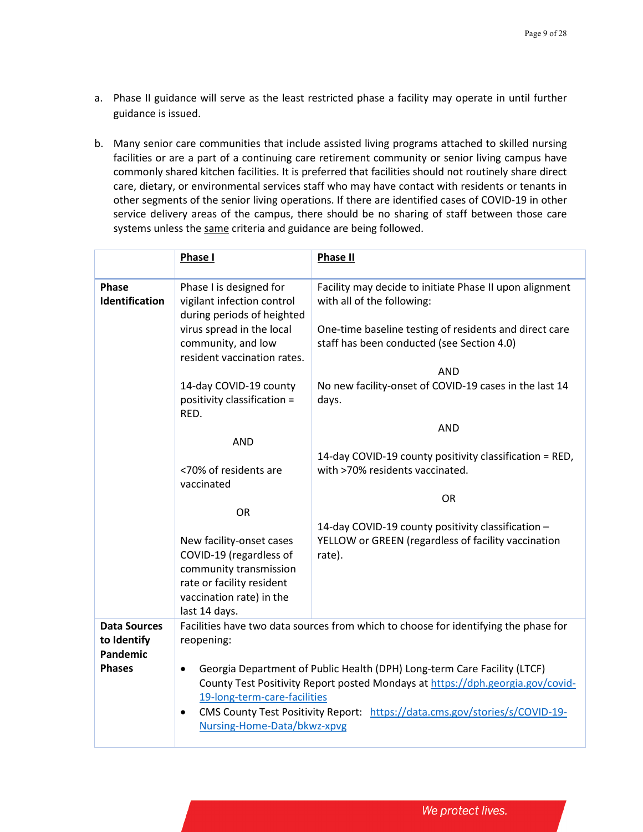- a. Phase II guidance will serve as the least restricted phase a facility may operate in until further guidance is issued.
- b. Many senior care communities that include assisted living programs attached to skilled nursing facilities or are a part of a continuing care retirement community or senior living campus have commonly shared kitchen facilities. It is preferred that facilities should not routinely share direct care, dietary, or environmental services staff who may have contact with residents or tenants in other segments of the senior living operations. If there are identified cases of COVID-19 in other service delivery areas of the campus, there should be no sharing of staff between those care systems unless the same criteria and guidance are being followed.

|                                                | Phase I                                                                                                                                                                                                                                                                                                                            | <b>Phase II</b>                                                                                                     |
|------------------------------------------------|------------------------------------------------------------------------------------------------------------------------------------------------------------------------------------------------------------------------------------------------------------------------------------------------------------------------------------|---------------------------------------------------------------------------------------------------------------------|
| Phase<br>Identification                        | Phase I is designed for<br>vigilant infection control<br>during periods of heighted                                                                                                                                                                                                                                                | Facility may decide to initiate Phase II upon alignment<br>with all of the following:                               |
|                                                | virus spread in the local<br>community, and low<br>resident vaccination rates.                                                                                                                                                                                                                                                     | One-time baseline testing of residents and direct care<br>staff has been conducted (see Section 4.0)                |
|                                                |                                                                                                                                                                                                                                                                                                                                    | <b>AND</b>                                                                                                          |
|                                                | 14-day COVID-19 county<br>positivity classification =<br>RED.                                                                                                                                                                                                                                                                      | No new facility-onset of COVID-19 cases in the last 14<br>days.                                                     |
|                                                |                                                                                                                                                                                                                                                                                                                                    | <b>AND</b>                                                                                                          |
|                                                | <b>AND</b>                                                                                                                                                                                                                                                                                                                         |                                                                                                                     |
|                                                | <70% of residents are<br>vaccinated                                                                                                                                                                                                                                                                                                | 14-day COVID-19 county positivity classification = RED,<br>with >70% residents vaccinated.                          |
|                                                |                                                                                                                                                                                                                                                                                                                                    | <b>OR</b>                                                                                                           |
|                                                | <b>OR</b>                                                                                                                                                                                                                                                                                                                          |                                                                                                                     |
|                                                | New facility-onset cases<br>COVID-19 (regardless of<br>community transmission<br>rate or facility resident<br>vaccination rate) in the<br>last 14 days.                                                                                                                                                                            | 14-day COVID-19 county positivity classification -<br>YELLOW or GREEN (regardless of facility vaccination<br>rate). |
| <b>Data Sources</b><br>to Identify<br>Pandemic | Facilities have two data sources from which to choose for identifying the phase for<br>reopening:                                                                                                                                                                                                                                  |                                                                                                                     |
| <b>Phases</b>                                  | Georgia Department of Public Health (DPH) Long-term Care Facility (LTCF)<br>$\bullet$<br>County Test Positivity Report posted Mondays at https://dph.georgia.gov/covid-<br>19-long-term-care-facilities<br>CMS County Test Positivity Report: https://data.cms.gov/stories/s/COVID-19-<br>$\bullet$<br>Nursing-Home-Data/bkwz-xpvg |                                                                                                                     |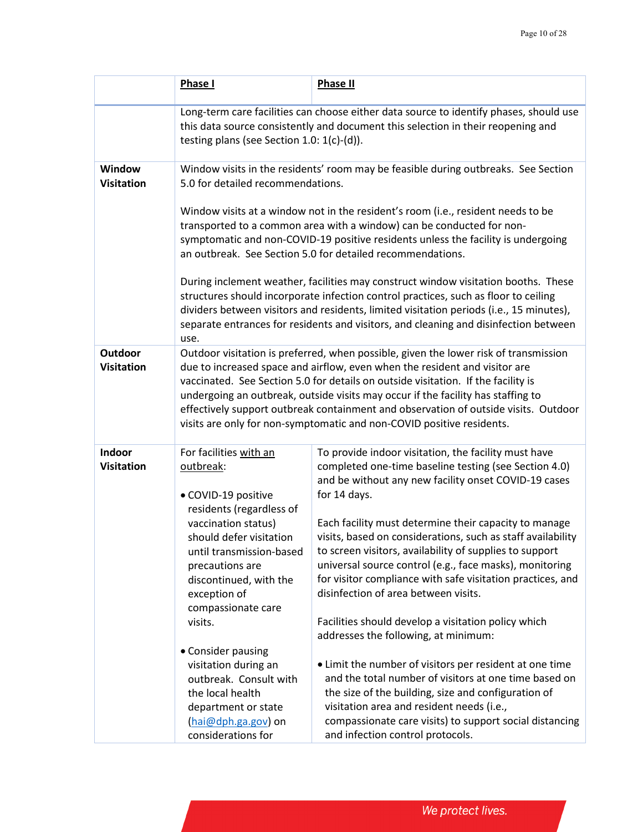|                                     | Phase I                                                                                                                                                                                                                                                                                                                                                                                                                                                                                                     | <b>Phase II</b>                                                                                                                                                                                                                                                                                                                                                                                                                                                                                                                           |  |
|-------------------------------------|-------------------------------------------------------------------------------------------------------------------------------------------------------------------------------------------------------------------------------------------------------------------------------------------------------------------------------------------------------------------------------------------------------------------------------------------------------------------------------------------------------------|-------------------------------------------------------------------------------------------------------------------------------------------------------------------------------------------------------------------------------------------------------------------------------------------------------------------------------------------------------------------------------------------------------------------------------------------------------------------------------------------------------------------------------------------|--|
|                                     | Long-term care facilities can choose either data source to identify phases, should use<br>this data source consistently and document this selection in their reopening and<br>testing plans (see Section 1.0: $1(c)-(d)$ ).                                                                                                                                                                                                                                                                                 |                                                                                                                                                                                                                                                                                                                                                                                                                                                                                                                                           |  |
| Window<br><b>Visitation</b>         | Window visits in the residents' room may be feasible during outbreaks. See Section<br>5.0 for detailed recommendations.                                                                                                                                                                                                                                                                                                                                                                                     |                                                                                                                                                                                                                                                                                                                                                                                                                                                                                                                                           |  |
|                                     | Window visits at a window not in the resident's room (i.e., resident needs to be<br>transported to a common area with a window) can be conducted for non-<br>symptomatic and non-COVID-19 positive residents unless the facility is undergoing<br>an outbreak. See Section 5.0 for detailed recommendations.                                                                                                                                                                                                |                                                                                                                                                                                                                                                                                                                                                                                                                                                                                                                                           |  |
|                                     | During inclement weather, facilities may construct window visitation booths. These<br>structures should incorporate infection control practices, such as floor to ceiling<br>dividers between visitors and residents, limited visitation periods (i.e., 15 minutes),<br>separate entrances for residents and visitors, and cleaning and disinfection between<br>use.                                                                                                                                        |                                                                                                                                                                                                                                                                                                                                                                                                                                                                                                                                           |  |
| <b>Outdoor</b><br><b>Visitation</b> | Outdoor visitation is preferred, when possible, given the lower risk of transmission<br>due to increased space and airflow, even when the resident and visitor are<br>vaccinated. See Section 5.0 for details on outside visitation. If the facility is<br>undergoing an outbreak, outside visits may occur if the facility has staffing to<br>effectively support outbreak containment and observation of outside visits. Outdoor<br>visits are only for non-symptomatic and non-COVID positive residents. |                                                                                                                                                                                                                                                                                                                                                                                                                                                                                                                                           |  |
| <b>Indoor</b><br><b>Visitation</b>  | For facilities with an<br>outbreak:<br>· COVID-19 positive<br>residents (regardless of<br>vaccination status)<br>should defer visitation<br>until transmission-based<br>precautions are<br>discontinued, with the<br>exception of<br>compassionate care                                                                                                                                                                                                                                                     | To provide indoor visitation, the facility must have<br>completed one-time baseline testing (see Section 4.0)<br>and be without any new facility onset COVID-19 cases<br>for 14 days.<br>Each facility must determine their capacity to manage<br>visits, based on considerations, such as staff availability<br>to screen visitors, availability of supplies to support<br>universal source control (e.g., face masks), monitoring<br>for visitor compliance with safe visitation practices, and<br>disinfection of area between visits. |  |
|                                     | visits.<br>• Consider pausing<br>visitation during an<br>outbreak. Consult with<br>the local health<br>department or state<br>(hai@dph.ga.gov) on<br>considerations for                                                                                                                                                                                                                                                                                                                                     | Facilities should develop a visitation policy which<br>addresses the following, at minimum:<br>• Limit the number of visitors per resident at one time<br>and the total number of visitors at one time based on<br>the size of the building, size and configuration of<br>visitation area and resident needs (i.e.,<br>compassionate care visits) to support social distancing<br>and infection control protocols.                                                                                                                        |  |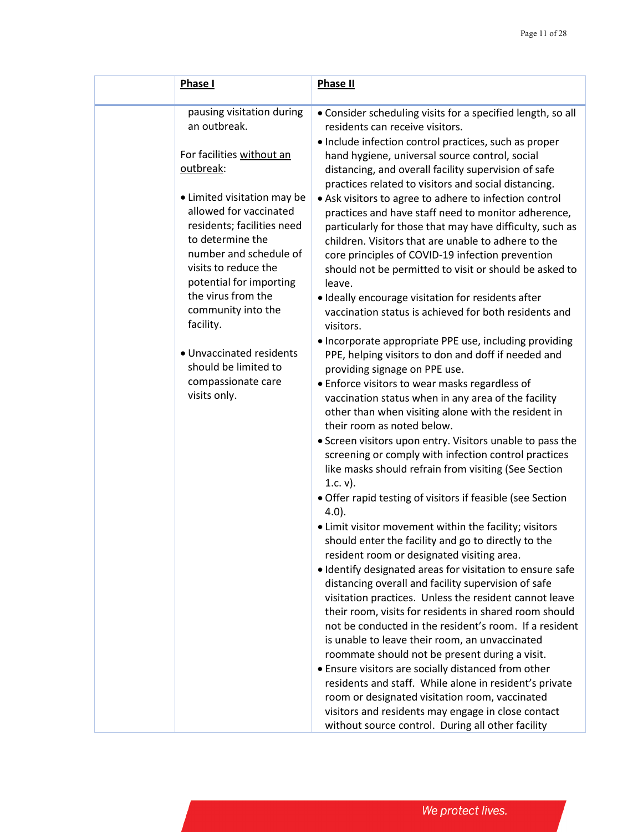| Phase I                                                                                                                                                                                                                                                                                                                                 | <b>Phase II</b>                                                                                                                                                                                                                                                                                                                                                                                                                                                                                                                                                                                                                                                                                                                                                                                                                                                                                                                                                                                                                                                                                                                                                                                                                                                                     |
|-----------------------------------------------------------------------------------------------------------------------------------------------------------------------------------------------------------------------------------------------------------------------------------------------------------------------------------------|-------------------------------------------------------------------------------------------------------------------------------------------------------------------------------------------------------------------------------------------------------------------------------------------------------------------------------------------------------------------------------------------------------------------------------------------------------------------------------------------------------------------------------------------------------------------------------------------------------------------------------------------------------------------------------------------------------------------------------------------------------------------------------------------------------------------------------------------------------------------------------------------------------------------------------------------------------------------------------------------------------------------------------------------------------------------------------------------------------------------------------------------------------------------------------------------------------------------------------------------------------------------------------------|
|                                                                                                                                                                                                                                                                                                                                         |                                                                                                                                                                                                                                                                                                                                                                                                                                                                                                                                                                                                                                                                                                                                                                                                                                                                                                                                                                                                                                                                                                                                                                                                                                                                                     |
| pausing visitation during<br>an outbreak.                                                                                                                                                                                                                                                                                               | • Consider scheduling visits for a specified length, so all<br>residents can receive visitors.<br>• Include infection control practices, such as proper                                                                                                                                                                                                                                                                                                                                                                                                                                                                                                                                                                                                                                                                                                                                                                                                                                                                                                                                                                                                                                                                                                                             |
| For facilities without an<br>outbreak:                                                                                                                                                                                                                                                                                                  | hand hygiene, universal source control, social<br>distancing, and overall facility supervision of safe                                                                                                                                                                                                                                                                                                                                                                                                                                                                                                                                                                                                                                                                                                                                                                                                                                                                                                                                                                                                                                                                                                                                                                              |
| • Limited visitation may be<br>allowed for vaccinated<br>residents; facilities need<br>to determine the<br>number and schedule of<br>visits to reduce the<br>potential for importing<br>the virus from the<br>community into the<br>facility.<br>• Unvaccinated residents<br>should be limited to<br>compassionate care<br>visits only. | practices related to visitors and social distancing.<br>• Ask visitors to agree to adhere to infection control<br>practices and have staff need to monitor adherence,<br>particularly for those that may have difficulty, such as<br>children. Visitors that are unable to adhere to the<br>core principles of COVID-19 infection prevention<br>should not be permitted to visit or should be asked to<br>leave.<br>· Ideally encourage visitation for residents after<br>vaccination status is achieved for both residents and<br>visitors.<br>• Incorporate appropriate PPE use, including providing<br>PPE, helping visitors to don and doff if needed and<br>providing signage on PPE use.<br>• Enforce visitors to wear masks regardless of<br>vaccination status when in any area of the facility<br>other than when visiting alone with the resident in<br>their room as noted below.<br>• Screen visitors upon entry. Visitors unable to pass the<br>screening or comply with infection control practices<br>like masks should refrain from visiting (See Section<br>1.c. $v$ ).<br>• Offer rapid testing of visitors if feasible (see Section<br>$4.0$ ).<br>• Limit visitor movement within the facility; visitors<br>should enter the facility and go to directly to the |
|                                                                                                                                                                                                                                                                                                                                         | resident room or designated visiting area.<br>· Identify designated areas for visitation to ensure safe<br>distancing overall and facility supervision of safe                                                                                                                                                                                                                                                                                                                                                                                                                                                                                                                                                                                                                                                                                                                                                                                                                                                                                                                                                                                                                                                                                                                      |
|                                                                                                                                                                                                                                                                                                                                         | visitation practices. Unless the resident cannot leave<br>their room, visits for residents in shared room should<br>not be conducted in the resident's room. If a resident<br>is unable to leave their room, an unvaccinated<br>roommate should not be present during a visit.                                                                                                                                                                                                                                                                                                                                                                                                                                                                                                                                                                                                                                                                                                                                                                                                                                                                                                                                                                                                      |
|                                                                                                                                                                                                                                                                                                                                         | • Ensure visitors are socially distanced from other<br>residents and staff. While alone in resident's private<br>room or designated visitation room, vaccinated<br>visitors and residents may engage in close contact<br>without source control. During all other facility                                                                                                                                                                                                                                                                                                                                                                                                                                                                                                                                                                                                                                                                                                                                                                                                                                                                                                                                                                                                          |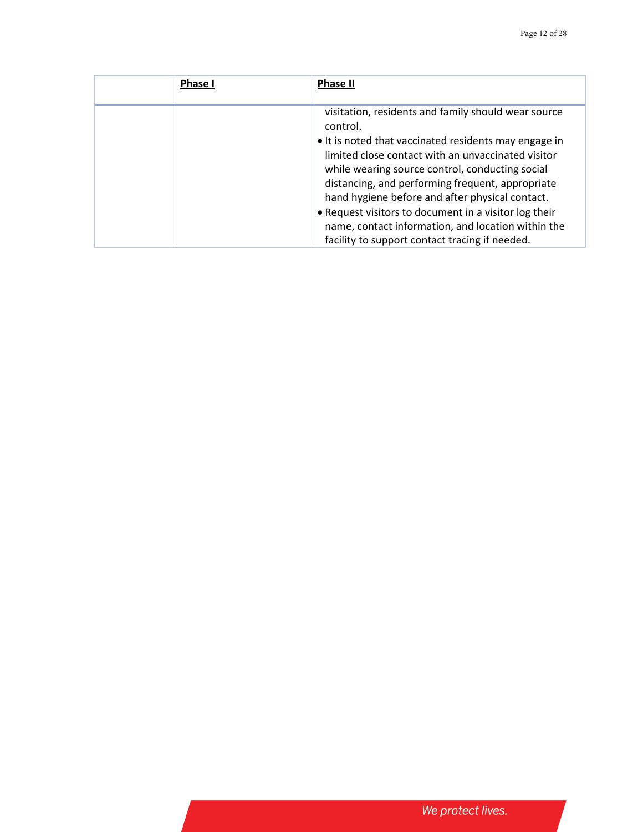| <b>Phase I</b> | <b>Phase II</b>                                                                                                                                                                                                                                                                                                                                                                                                                                                                                           |
|----------------|-----------------------------------------------------------------------------------------------------------------------------------------------------------------------------------------------------------------------------------------------------------------------------------------------------------------------------------------------------------------------------------------------------------------------------------------------------------------------------------------------------------|
|                | visitation, residents and family should wear source<br>control.<br>• It is noted that vaccinated residents may engage in<br>limited close contact with an unvaccinated visitor<br>while wearing source control, conducting social<br>distancing, and performing frequent, appropriate<br>hand hygiene before and after physical contact.<br>. Request visitors to document in a visitor log their<br>name, contact information, and location within the<br>facility to support contact tracing if needed. |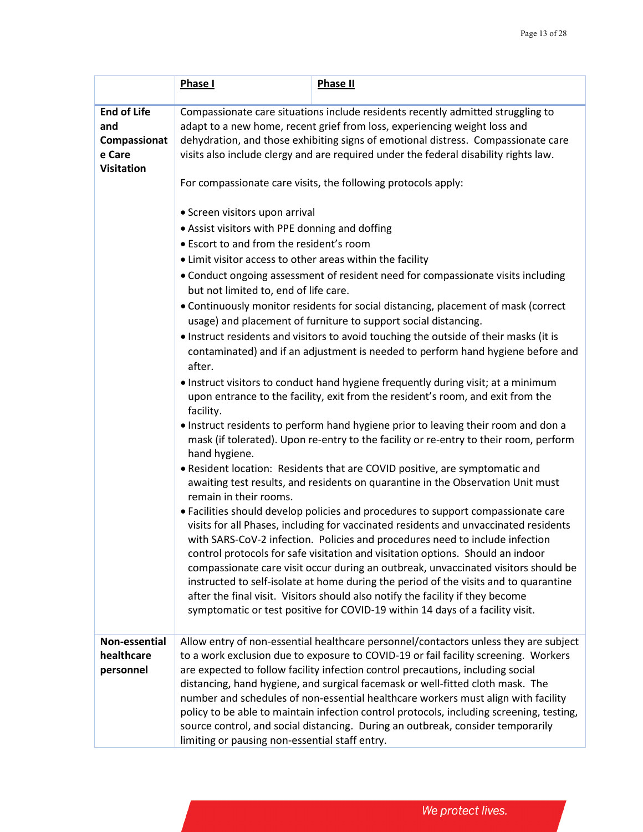|                             | Phase I                                                                                                                                                                   | <b>Phase II</b>                                                                                                                                                        |  |  |
|-----------------------------|---------------------------------------------------------------------------------------------------------------------------------------------------------------------------|------------------------------------------------------------------------------------------------------------------------------------------------------------------------|--|--|
|                             |                                                                                                                                                                           |                                                                                                                                                                        |  |  |
| <b>End of Life</b>          | Compassionate care situations include residents recently admitted struggling to                                                                                           |                                                                                                                                                                        |  |  |
| and                         | adapt to a new home, recent grief from loss, experiencing weight loss and                                                                                                 |                                                                                                                                                                        |  |  |
| Compassionat                | dehydration, and those exhibiting signs of emotional distress. Compassionate care<br>visits also include clergy and are required under the federal disability rights law. |                                                                                                                                                                        |  |  |
| e Care<br><b>Visitation</b> |                                                                                                                                                                           |                                                                                                                                                                        |  |  |
|                             |                                                                                                                                                                           | For compassionate care visits, the following protocols apply:                                                                                                          |  |  |
|                             | • Screen visitors upon arrival                                                                                                                                            |                                                                                                                                                                        |  |  |
|                             | • Assist visitors with PPE donning and doffing                                                                                                                            |                                                                                                                                                                        |  |  |
|                             | • Escort to and from the resident's room                                                                                                                                  |                                                                                                                                                                        |  |  |
|                             | • Limit visitor access to other areas within the facility                                                                                                                 |                                                                                                                                                                        |  |  |
|                             | but not limited to, end of life care.                                                                                                                                     | • Conduct ongoing assessment of resident need for compassionate visits including                                                                                       |  |  |
|                             |                                                                                                                                                                           | • Continuously monitor residents for social distancing, placement of mask (correct<br>usage) and placement of furniture to support social distancing.                  |  |  |
|                             |                                                                                                                                                                           | . Instruct residents and visitors to avoid touching the outside of their masks (it is                                                                                  |  |  |
|                             | after.                                                                                                                                                                    | contaminated) and if an adjustment is needed to perform hand hygiene before and                                                                                        |  |  |
|                             |                                                                                                                                                                           | • Instruct visitors to conduct hand hygiene frequently during visit; at a minimum                                                                                      |  |  |
|                             | facility.                                                                                                                                                                 | upon entrance to the facility, exit from the resident's room, and exit from the                                                                                        |  |  |
|                             | . Instruct residents to perform hand hygiene prior to leaving their room and don a                                                                                        |                                                                                                                                                                        |  |  |
|                             | hand hygiene.                                                                                                                                                             | mask (if tolerated). Upon re-entry to the facility or re-entry to their room, perform                                                                                  |  |  |
|                             |                                                                                                                                                                           | • Resident location: Residents that are COVID positive, are symptomatic and                                                                                            |  |  |
|                             | remain in their rooms.                                                                                                                                                    | awaiting test results, and residents on quarantine in the Observation Unit must<br>• Facilities should develop policies and procedures to support compassionate care   |  |  |
|                             |                                                                                                                                                                           |                                                                                                                                                                        |  |  |
|                             | visits for all Phases, including for vaccinated residents and unvaccinated residents                                                                                      |                                                                                                                                                                        |  |  |
|                             |                                                                                                                                                                           | with SARS-CoV-2 infection. Policies and procedures need to include infection                                                                                           |  |  |
|                             |                                                                                                                                                                           | control protocols for safe visitation and visitation options. Should an indoor                                                                                         |  |  |
|                             |                                                                                                                                                                           | compassionate care visit occur during an outbreak, unvaccinated visitors should be                                                                                     |  |  |
|                             |                                                                                                                                                                           | instructed to self-isolate at home during the period of the visits and to quarantine<br>after the final visit. Visitors should also notify the facility if they become |  |  |
|                             |                                                                                                                                                                           |                                                                                                                                                                        |  |  |
|                             | symptomatic or test positive for COVID-19 within 14 days of a facility visit.                                                                                             |                                                                                                                                                                        |  |  |
| Non-essential               |                                                                                                                                                                           | Allow entry of non-essential healthcare personnel/contactors unless they are subject                                                                                   |  |  |
| healthcare                  |                                                                                                                                                                           | to a work exclusion due to exposure to COVID-19 or fail facility screening. Workers                                                                                    |  |  |
| personnel                   |                                                                                                                                                                           | are expected to follow facility infection control precautions, including social                                                                                        |  |  |
|                             |                                                                                                                                                                           | distancing, hand hygiene, and surgical facemask or well-fitted cloth mask. The                                                                                         |  |  |
|                             |                                                                                                                                                                           | number and schedules of non-essential healthcare workers must align with facility                                                                                      |  |  |
|                             |                                                                                                                                                                           | policy to be able to maintain infection control protocols, including screening, testing,                                                                               |  |  |
|                             |                                                                                                                                                                           | source control, and social distancing. During an outbreak, consider temporarily                                                                                        |  |  |
|                             | limiting or pausing non-essential staff entry.                                                                                                                            |                                                                                                                                                                        |  |  |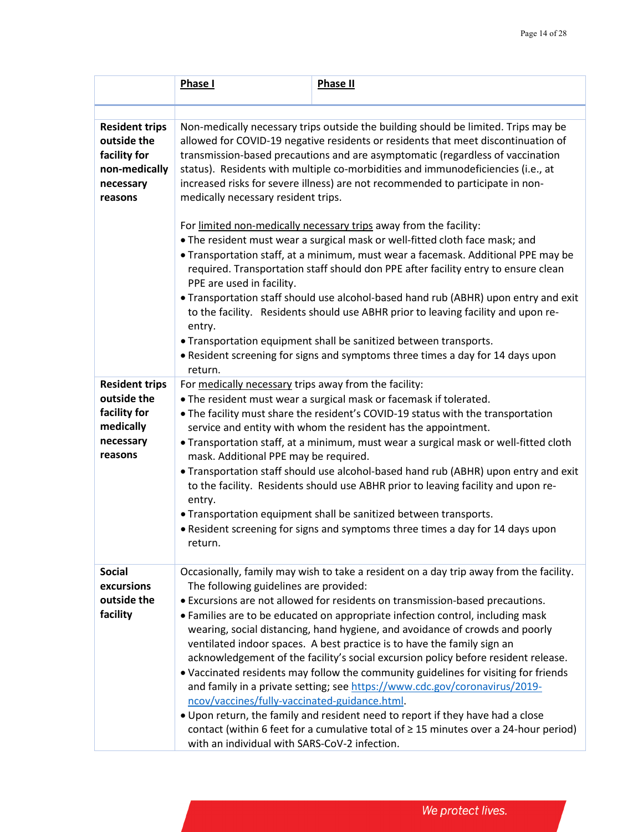|                                                                                               | Phase I                                                                                                                                                                                                                                                                                                                                                                                                                                                                | <b>Phase II</b>                                                                                                                                                                                                                                                                                                                                                                                                                                                                                                                                                                                                                                                                                                                                                                                                                                                |  |
|-----------------------------------------------------------------------------------------------|------------------------------------------------------------------------------------------------------------------------------------------------------------------------------------------------------------------------------------------------------------------------------------------------------------------------------------------------------------------------------------------------------------------------------------------------------------------------|----------------------------------------------------------------------------------------------------------------------------------------------------------------------------------------------------------------------------------------------------------------------------------------------------------------------------------------------------------------------------------------------------------------------------------------------------------------------------------------------------------------------------------------------------------------------------------------------------------------------------------------------------------------------------------------------------------------------------------------------------------------------------------------------------------------------------------------------------------------|--|
|                                                                                               |                                                                                                                                                                                                                                                                                                                                                                                                                                                                        |                                                                                                                                                                                                                                                                                                                                                                                                                                                                                                                                                                                                                                                                                                                                                                                                                                                                |  |
| <b>Resident trips</b><br>outside the<br>facility for<br>non-medically<br>necessary<br>reasons | Non-medically necessary trips outside the building should be limited. Trips may be<br>allowed for COVID-19 negative residents or residents that meet discontinuation of<br>transmission-based precautions and are asymptomatic (regardless of vaccination<br>status). Residents with multiple co-morbidities and immunodeficiencies (i.e., at<br>increased risks for severe illness) are not recommended to participate in non-<br>medically necessary resident trips. |                                                                                                                                                                                                                                                                                                                                                                                                                                                                                                                                                                                                                                                                                                                                                                                                                                                                |  |
|                                                                                               | PPE are used in facility.<br>entry.<br>return.                                                                                                                                                                                                                                                                                                                                                                                                                         | For limited non-medically necessary trips away from the facility:<br>. The resident must wear a surgical mask or well-fitted cloth face mask; and<br>. Transportation staff, at a minimum, must wear a facemask. Additional PPE may be<br>required. Transportation staff should don PPE after facility entry to ensure clean<br>• Transportation staff should use alcohol-based hand rub (ABHR) upon entry and exit<br>to the facility. Residents should use ABHR prior to leaving facility and upon re-<br>• Transportation equipment shall be sanitized between transports.<br>• Resident screening for signs and symptoms three times a day for 14 days upon                                                                                                                                                                                                |  |
| <b>Resident trips</b><br>outside the<br>facility for<br>medically<br>necessary<br>reasons     | For medically necessary trips away from the facility:<br>mask. Additional PPE may be required.<br>entry.<br>return.                                                                                                                                                                                                                                                                                                                                                    | . The resident must wear a surgical mask or facemask if tolerated.<br>. The facility must share the resident's COVID-19 status with the transportation<br>service and entity with whom the resident has the appointment.<br>• Transportation staff, at a minimum, must wear a surgical mask or well-fitted cloth<br>• Transportation staff should use alcohol-based hand rub (ABHR) upon entry and exit<br>to the facility. Residents should use ABHR prior to leaving facility and upon re-<br>• Transportation equipment shall be sanitized between transports.<br>• Resident screening for signs and symptoms three times a day for 14 days upon                                                                                                                                                                                                            |  |
| <b>Social</b><br>excursions<br>outside the<br>facility                                        | The following guidelines are provided:<br>ncov/vaccines/fully-vaccinated-guidance.html.<br>with an individual with SARS-CoV-2 infection.                                                                                                                                                                                                                                                                                                                               | Occasionally, family may wish to take a resident on a day trip away from the facility.<br>• Excursions are not allowed for residents on transmission-based precautions.<br>• Families are to be educated on appropriate infection control, including mask<br>wearing, social distancing, hand hygiene, and avoidance of crowds and poorly<br>ventilated indoor spaces. A best practice is to have the family sign an<br>acknowledgement of the facility's social excursion policy before resident release.<br>• Vaccinated residents may follow the community guidelines for visiting for friends<br>and family in a private setting; see https://www.cdc.gov/coronavirus/2019-<br>. Upon return, the family and resident need to report if they have had a close<br>contact (within 6 feet for a cumulative total of $\geq$ 15 minutes over a 24-hour period) |  |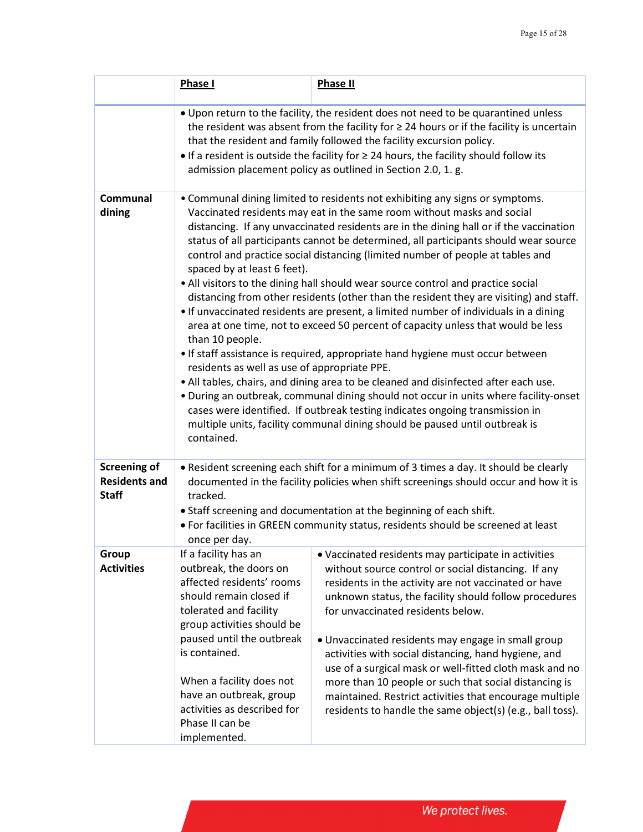|                                                             | Phase I                                                                                                                                                                                                                                                                                                                                                                                                                                                                                                                                                                                                                                                                                                                                                                                                                                                                                                                                                                                                                                                                                                                                                                                                                                                                                                                              | <b>Phase II</b>                                                                                                                                                                                                                                                                                                                                                                                                                                                                                                                                                                                                             |  |
|-------------------------------------------------------------|--------------------------------------------------------------------------------------------------------------------------------------------------------------------------------------------------------------------------------------------------------------------------------------------------------------------------------------------------------------------------------------------------------------------------------------------------------------------------------------------------------------------------------------------------------------------------------------------------------------------------------------------------------------------------------------------------------------------------------------------------------------------------------------------------------------------------------------------------------------------------------------------------------------------------------------------------------------------------------------------------------------------------------------------------------------------------------------------------------------------------------------------------------------------------------------------------------------------------------------------------------------------------------------------------------------------------------------|-----------------------------------------------------------------------------------------------------------------------------------------------------------------------------------------------------------------------------------------------------------------------------------------------------------------------------------------------------------------------------------------------------------------------------------------------------------------------------------------------------------------------------------------------------------------------------------------------------------------------------|--|
|                                                             | . Upon return to the facility, the resident does not need to be quarantined unless<br>the resident was absent from the facility for $\geq$ 24 hours or if the facility is uncertain<br>that the resident and family followed the facility excursion policy.<br>$\bullet$ If a resident is outside the facility for $\geq$ 24 hours, the facility should follow its<br>admission placement policy as outlined in Section 2.0, 1. g.                                                                                                                                                                                                                                                                                                                                                                                                                                                                                                                                                                                                                                                                                                                                                                                                                                                                                                   |                                                                                                                                                                                                                                                                                                                                                                                                                                                                                                                                                                                                                             |  |
| Communal<br>dining                                          | • Communal dining limited to residents not exhibiting any signs or symptoms.<br>Vaccinated residents may eat in the same room without masks and social<br>distancing. If any unvaccinated residents are in the dining hall or if the vaccination<br>status of all participants cannot be determined, all participants should wear source<br>control and practice social distancing (limited number of people at tables and<br>spaced by at least 6 feet).<br>• All visitors to the dining hall should wear source control and practice social<br>distancing from other residents (other than the resident they are visiting) and staff.<br>• If unvaccinated residents are present, a limited number of individuals in a dining<br>area at one time, not to exceed 50 percent of capacity unless that would be less<br>than 10 people.<br>• If staff assistance is required, appropriate hand hygiene must occur between<br>residents as well as use of appropriate PPE.<br>. All tables, chairs, and dining area to be cleaned and disinfected after each use.<br>. During an outbreak, communal dining should not occur in units where facility-onset<br>cases were identified. If outbreak testing indicates ongoing transmission in<br>multiple units, facility communal dining should be paused until outbreak is<br>contained. |                                                                                                                                                                                                                                                                                                                                                                                                                                                                                                                                                                                                                             |  |
| <b>Screening of</b><br><b>Residents and</b><br><b>Staff</b> | • Resident screening each shift for a minimum of 3 times a day. It should be clearly<br>documented in the facility policies when shift screenings should occur and how it is<br>tracked.<br>• Staff screening and documentation at the beginning of each shift.<br>. For facilities in GREEN community status, residents should be screened at least<br>once per day.                                                                                                                                                                                                                                                                                                                                                                                                                                                                                                                                                                                                                                                                                                                                                                                                                                                                                                                                                                |                                                                                                                                                                                                                                                                                                                                                                                                                                                                                                                                                                                                                             |  |
| Group<br><b>Activities</b>                                  | If a facility has an<br>outbreak, the doors on<br>affected residents' rooms<br>should remain closed if<br>tolerated and facility<br>group activities should be<br>paused until the outbreak<br>is contained.<br>When a facility does not<br>have an outbreak, group<br>activities as described for<br>Phase II can be<br>implemented.                                                                                                                                                                                                                                                                                                                                                                                                                                                                                                                                                                                                                                                                                                                                                                                                                                                                                                                                                                                                | • Vaccinated residents may participate in activities<br>without source control or social distancing. If any<br>residents in the activity are not vaccinated or have<br>unknown status, the facility should follow procedures<br>for unvaccinated residents below.<br>• Unvaccinated residents may engage in small group<br>activities with social distancing, hand hygiene, and<br>use of a surgical mask or well-fitted cloth mask and no<br>more than 10 people or such that social distancing is<br>maintained. Restrict activities that encourage multiple<br>residents to handle the same object(s) (e.g., ball toss). |  |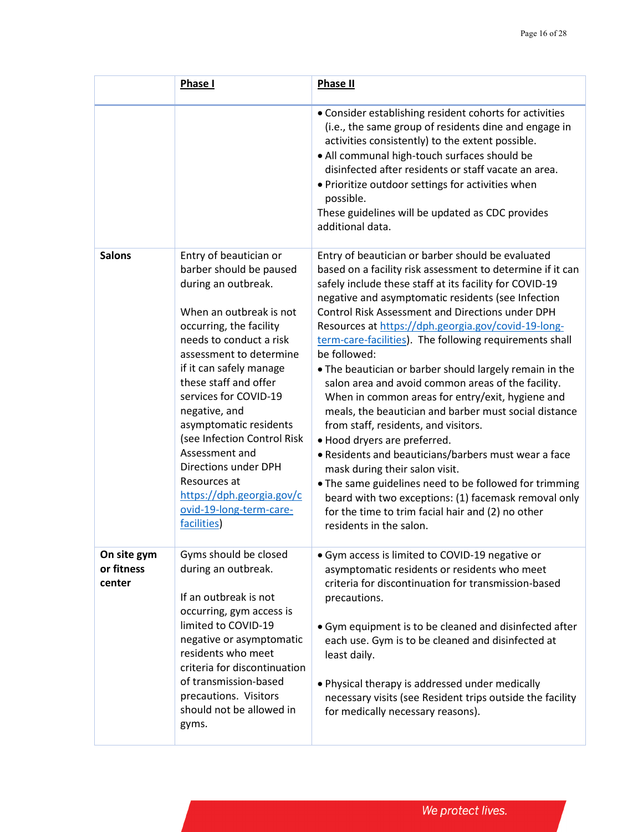|                                     | <b>Phase I</b>                                                                                                                                                                                                                                                                                                                                                                                                                                                               | <b>Phase II</b>                                                                                                                                                                                                                                                                                                                                                                                                                                                                                                                                                                                                                                                                                                                                                                                                                                                                                                                                                                                                                 |
|-------------------------------------|------------------------------------------------------------------------------------------------------------------------------------------------------------------------------------------------------------------------------------------------------------------------------------------------------------------------------------------------------------------------------------------------------------------------------------------------------------------------------|---------------------------------------------------------------------------------------------------------------------------------------------------------------------------------------------------------------------------------------------------------------------------------------------------------------------------------------------------------------------------------------------------------------------------------------------------------------------------------------------------------------------------------------------------------------------------------------------------------------------------------------------------------------------------------------------------------------------------------------------------------------------------------------------------------------------------------------------------------------------------------------------------------------------------------------------------------------------------------------------------------------------------------|
|                                     |                                                                                                                                                                                                                                                                                                                                                                                                                                                                              | • Consider establishing resident cohorts for activities<br>(i.e., the same group of residents dine and engage in<br>activities consistently) to the extent possible.<br>• All communal high-touch surfaces should be<br>disinfected after residents or staff vacate an area.<br>• Prioritize outdoor settings for activities when<br>possible.<br>These guidelines will be updated as CDC provides<br>additional data.                                                                                                                                                                                                                                                                                                                                                                                                                                                                                                                                                                                                          |
| <b>Salons</b>                       | Entry of beautician or<br>barber should be paused<br>during an outbreak.<br>When an outbreak is not<br>occurring, the facility<br>needs to conduct a risk<br>assessment to determine<br>if it can safely manage<br>these staff and offer<br>services for COVID-19<br>negative, and<br>asymptomatic residents<br>(see Infection Control Risk<br>Assessment and<br>Directions under DPH<br>Resources at<br>https://dph.georgia.gov/c<br>ovid-19-long-term-care-<br>facilities) | Entry of beautician or barber should be evaluated<br>based on a facility risk assessment to determine if it can<br>safely include these staff at its facility for COVID-19<br>negative and asymptomatic residents (see Infection<br><b>Control Risk Assessment and Directions under DPH</b><br>Resources at https://dph.georgia.gov/covid-19-long-<br>term-care-facilities). The following requirements shall<br>be followed:<br>. The beautician or barber should largely remain in the<br>salon area and avoid common areas of the facility.<br>When in common areas for entry/exit, hygiene and<br>meals, the beautician and barber must social distance<br>from staff, residents, and visitors.<br>• Hood dryers are preferred.<br>• Residents and beauticians/barbers must wear a face<br>mask during their salon visit.<br>. The same guidelines need to be followed for trimming<br>beard with two exceptions: (1) facemask removal only<br>for the time to trim facial hair and (2) no other<br>residents in the salon. |
| On site gym<br>or fitness<br>center | Gyms should be closed<br>during an outbreak.<br>If an outbreak is not<br>occurring, gym access is<br>limited to COVID-19<br>negative or asymptomatic<br>residents who meet<br>criteria for discontinuation<br>of transmission-based<br>precautions. Visitors<br>should not be allowed in<br>gyms.                                                                                                                                                                            | • Gym access is limited to COVID-19 negative or<br>asymptomatic residents or residents who meet<br>criteria for discontinuation for transmission-based<br>precautions.<br>• Gym equipment is to be cleaned and disinfected after<br>each use. Gym is to be cleaned and disinfected at<br>least daily.<br>• Physical therapy is addressed under medically<br>necessary visits (see Resident trips outside the facility<br>for medically necessary reasons).                                                                                                                                                                                                                                                                                                                                                                                                                                                                                                                                                                      |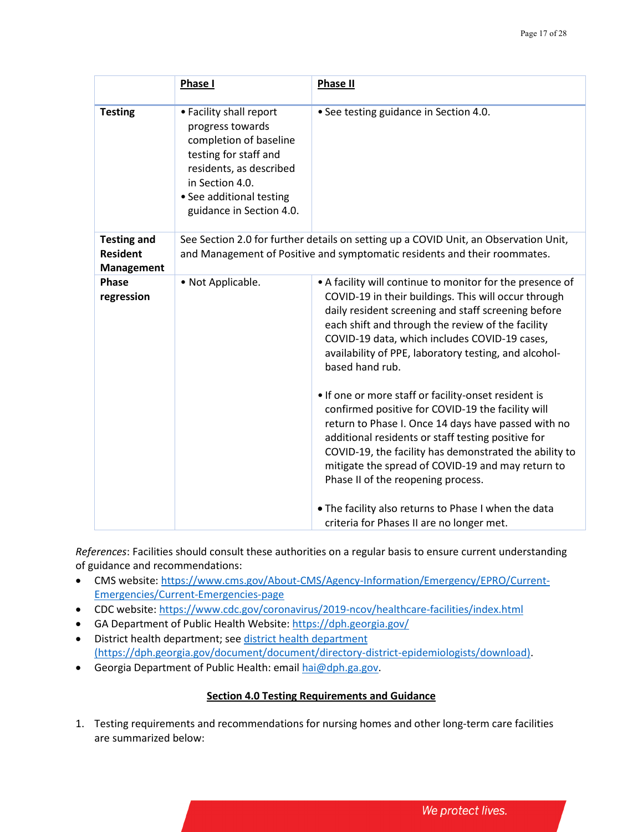|                                                            | Phase I                                                                                                                                                                                              | Phase II                                                                                                                                                                                                                                                                                                                                                                                                                                                                                                                                                                                                                                                                                                                                                                                          |
|------------------------------------------------------------|------------------------------------------------------------------------------------------------------------------------------------------------------------------------------------------------------|---------------------------------------------------------------------------------------------------------------------------------------------------------------------------------------------------------------------------------------------------------------------------------------------------------------------------------------------------------------------------------------------------------------------------------------------------------------------------------------------------------------------------------------------------------------------------------------------------------------------------------------------------------------------------------------------------------------------------------------------------------------------------------------------------|
| <b>Testing</b>                                             | • Facility shall report<br>progress towards<br>completion of baseline<br>testing for staff and<br>residents, as described<br>in Section 4.0.<br>• See additional testing<br>guidance in Section 4.0. | • See testing guidance in Section 4.0.                                                                                                                                                                                                                                                                                                                                                                                                                                                                                                                                                                                                                                                                                                                                                            |
| <b>Testing and</b><br><b>Resident</b><br><b>Management</b> |                                                                                                                                                                                                      | See Section 2.0 for further details on setting up a COVID Unit, an Observation Unit,<br>and Management of Positive and symptomatic residents and their roommates.                                                                                                                                                                                                                                                                                                                                                                                                                                                                                                                                                                                                                                 |
| <b>Phase</b><br>regression                                 | • Not Applicable.                                                                                                                                                                                    | • A facility will continue to monitor for the presence of<br>COVID-19 in their buildings. This will occur through<br>daily resident screening and staff screening before<br>each shift and through the review of the facility<br>COVID-19 data, which includes COVID-19 cases,<br>availability of PPE, laboratory testing, and alcohol-<br>based hand rub.<br>. If one or more staff or facility-onset resident is<br>confirmed positive for COVID-19 the facility will<br>return to Phase I. Once 14 days have passed with no<br>additional residents or staff testing positive for<br>COVID-19, the facility has demonstrated the ability to<br>mitigate the spread of COVID-19 and may return to<br>Phase II of the reopening process.<br>. The facility also returns to Phase I when the data |
|                                                            |                                                                                                                                                                                                      | criteria for Phases II are no longer met.                                                                                                                                                                                                                                                                                                                                                                                                                                                                                                                                                                                                                                                                                                                                                         |

*References*: Facilities should consult these authorities on a regular basis to ensure current understanding of guidance and recommendations:

- CMS website: [https://www.cms.gov/About-CMS/Agency-Information/Emergency/EPRO/Current-](https://www.cms.gov/About-CMS/Agency-Information/Emergency/EPRO/Current-Emergencies/Current-Emergencies-page)[Emergencies/Current-Emergencies-page](https://www.cms.gov/About-CMS/Agency-Information/Emergency/EPRO/Current-Emergencies/Current-Emergencies-page)
- CDC website[: https://www.cdc.gov/coronavirus/2019-ncov/healthcare-facilities/index.html](https://www.cdc.gov/coronavirus/2019-ncov/healthcare-facilities/index.html)
- GA Department of Public Health Website:<https://dph.georgia.gov/> • District health department; see [district health department](https://dph.georgia.gov/document/document/directory-district-epidemiologists/download)

(https://dph.georgia.gov/document/document/directory-district-epidemiologists/download). • Georgia Department of Public Health: emai[l hai@dph.ga.gov.](mailto:hai@dph.ga.gov)

# **Section 4.0 Testing Requirements and Guidance**

1. Testing requirements and recommendations for nursing homes and other long-term care facilities are summarized below: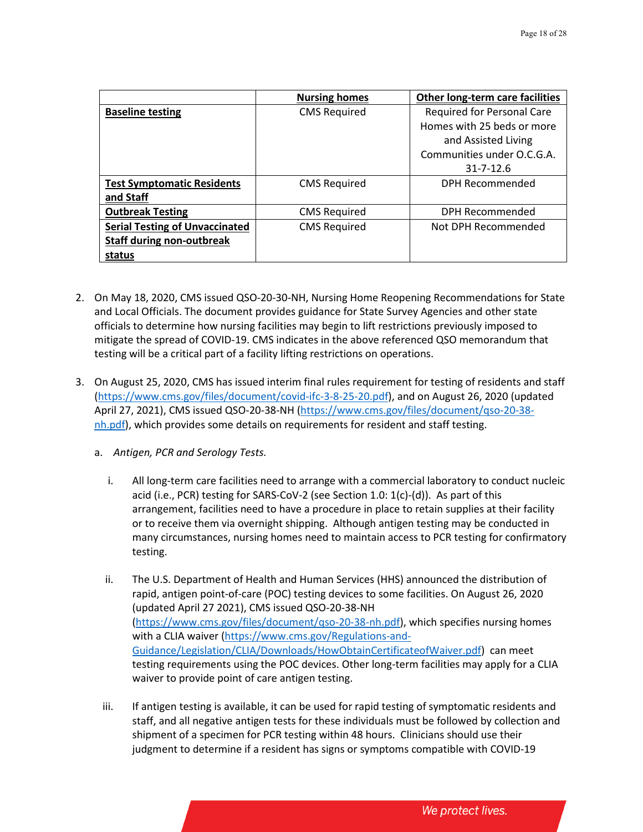|                                       | <b>Nursing homes</b> | Other long-term care facilities |
|---------------------------------------|----------------------|---------------------------------|
| <b>Baseline testing</b>               | <b>CMS Required</b>  | Required for Personal Care      |
|                                       |                      | Homes with 25 beds or more      |
|                                       |                      | and Assisted Living             |
|                                       |                      | Communities under O.C.G.A.      |
|                                       |                      | $31 - 7 - 12.6$                 |
| <b>Test Symptomatic Residents</b>     | <b>CMS Required</b>  | DPH Recommended                 |
| and Staff                             |                      |                                 |
| <b>Outbreak Testing</b>               | <b>CMS Required</b>  | DPH Recommended                 |
| <b>Serial Testing of Unvaccinated</b> | <b>CMS Required</b>  | Not DPH Recommended             |
| <b>Staff during non-outbreak</b>      |                      |                                 |
| status                                |                      |                                 |

- 2. On May 18, 2020, CMS issued QSO-20-30-NH, Nursing Home Reopening Recommendations for State and Local Officials. The document provides guidance for State Survey Agencies and other state officials to determine how nursing facilities may begin to lift restrictions previously imposed to mitigate the spread of COVID-19. CMS indicates in the above referenced QSO memorandum that testing will be a critical part of a facility lifting restrictions on operations.
- 3. On August 25, 2020, CMS has issued interim final rules requirement for testing of residents and staff [\(https://www.cms.gov/files/document/covid-ifc-3-8-25-20.pdf\)](https://www.cms.gov/files/document/covid-ifc-3-8-25-20.pdf), and on August 26, 2020 (updated April 27, 2021), CMS issued QSO-20-38-NH (https://www.cms.gov/files/document/qso-20-38 nh.pdf), which provides some details on requirements for resident and staff testing.
	- a. *Antigen, PCR and Serology Tests.*
		- i. All long-term care facilities need to arrange with a commercial laboratory to conduct nucleic acid (i.e., PCR) testing for SARS-CoV-2 (see Section 1.0: 1(c)-(d)). As part of this arrangement, facilities need to have a procedure in place to retain supplies at their facility or to receive them via overnight shipping. Although antigen testing may be conducted in many circumstances, nursing homes need to maintain access to PCR testing for confirmatory testing.
		- ii. The U.S. Department of Health and Human Services (HHS) announced the distribution of rapid, antigen point-of-care (POC) testing devices to some facilities. On August 26, 2020 (updated April 27 2021), CMS issued QSO-20-38-NH (https://www.cms.gov/files/document/qso-20-38-nh.pdf), which specifies nursing homes with a CLIA waiver [\(https://www.cms.gov/Regulations-and-](https://www.cms.gov/Regulations-and-Guidance/Legislation/CLIA/Downloads/HowObtainCertificateofWaiver.pdf)[Guidance/Legislation/CLIA/Downloads/HowObtainCertificateofWaiver.pdf\)](https://www.cms.gov/Regulations-and-Guidance/Legislation/CLIA/Downloads/HowObtainCertificateofWaiver.pdf) can meet testing requirements using the POC devices. Other long-term facilities may apply for a CLIA waiver to provide point of care antigen testing.
		- iii. If antigen testing is available, it can be used for rapid testing of symptomatic residents and staff, and all negative antigen tests for these individuals must be followed by collection and shipment of a specimen for PCR testing within 48 hours. Clinicians should use their judgment to determine if a resident has signs or symptoms compatible with COVID-19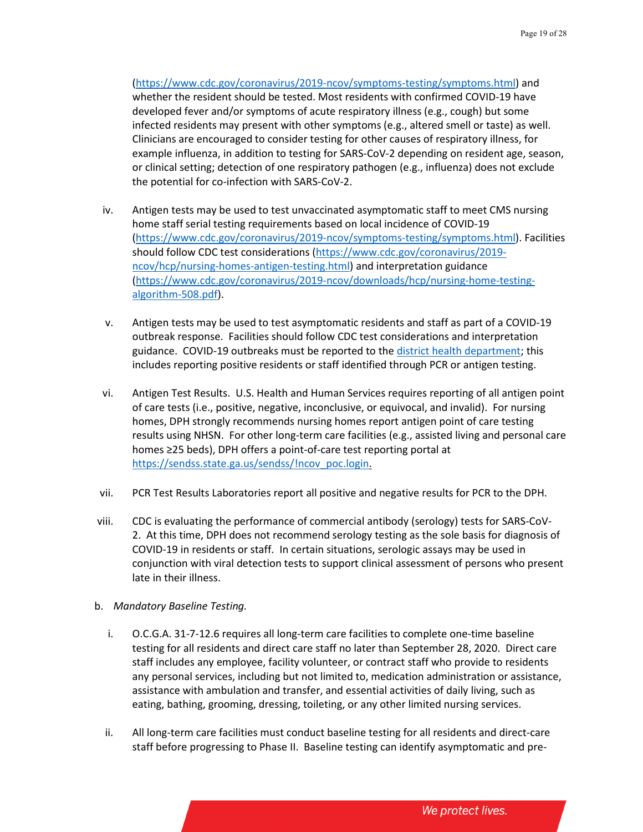[\(https://www.cdc.gov/coronavirus/2019-ncov/symptoms-testing/symptoms.html\)](https://www.cdc.gov/coronavirus/2019-ncov/symptoms-testing/symptoms.html) and whether the resident should be tested. Most residents with confirmed COVID-19 have developed fever and/or symptoms of acute respiratory illness (e.g., cough) but some infected residents may present with other symptoms (e.g., altered smell or taste) as well. Clinicians are encouraged to consider testing for other causes of respiratory illness, for example influenza, in addition to testing for SARS-CoV-2 depending on resident age, season, or clinical setting; detection of one respiratory pathogen (e.g., influenza) does not exclude the potential for co-infection with SARS-CoV-2.

- iv. Antigen tests may be used to test unvaccinated asymptomatic staff to meet CMS nursing home staff serial testing requirements based on local incidence of COVID-19 (https://www.cdc.gov/coronavirus/2019-ncov/symptoms-testing/symptoms.html). Facilities should follow CDC test considerations [\(https://www.cdc.gov/coronavirus/2019](https://www.cdc.gov/coronavirus/2019-ncov/hcp/nursing-homes-antigen-testing.html) [ncov/hcp/nursing-homes-antigen-testing.html\)](https://www.cdc.gov/coronavirus/2019-ncov/hcp/nursing-homes-antigen-testing.html) and interpretation guidance [\(https://www.cdc.gov/coronavirus/2019-ncov/downloads/hcp/nursing-home-testing](https://www.cdc.gov/coronavirus/2019-ncov/downloads/hcp/nursing-home-testing-algorithm-508.pdf)[algorithm-508.pdf\)](https://www.cdc.gov/coronavirus/2019-ncov/downloads/hcp/nursing-home-testing-algorithm-508.pdf).
- v. Antigen tests may be used to test asymptomatic residents and staff as part of a COVID-19 outbreak response. Facilities should follow CDC test considerations and interpretation guidance. COVID-19 outbreaks must be reported to the district [health department;](https://dph.georgia.gov/document/document/directory-district-epidemiologists/download) this includes reporting positive residents or staff identified through PCR or antigen testing.
- vi. Antigen Test Results. U.S. Health and Human Services requires reporting of all antigen point of care tests (i.e., positive, negative, inconclusive, or equivocal, and invalid). For nursing homes, DPH strongly recommends nursing homes report antigen point of care testing results using NHSN. For other long-term care facilities (e.g., assisted living and personal care homes ≥25 beds), DPH offers a point-of-care test reporting portal at [https://sendss.state.ga.us/sendss/!ncov\\_poc.login.](https://sendss.state.ga.us/sendss/!ncov_poc.login)
- vii. PCR Test Results Laboratories report all positive and negative results for PCR to the DPH.
- viii. CDC is evaluating the performance of commercial antibody (serology) tests for SARS-CoV-2. At this time, DPH does not recommend serology testing as the sole basis for diagnosis of COVID-19 in residents or staff. In certain situations, serologic assays may be used in conjunction with viral detection tests to support clinical assessment of persons who present late in their illness.
- b. *Mandatory Baseline Testing.*
	- i. O.C.G.A. 31-7-12.6 requires all long-term care facilities to complete one-time baseline testing for all residents and direct care staff no later than September 28, 2020. Direct care staff includes any employee, facility volunteer, or contract staff who provide to residents any personal services, including but not limited to, medication administration or assistance, assistance with ambulation and transfer, and essential activities of daily living, such as eating, bathing, grooming, dressing, toileting, or any other limited nursing services.
	- ii. All long-term care facilities must conduct baseline testing for all residents and direct-care staff before progressing to Phase II. Baseline testing can identify asymptomatic and pre-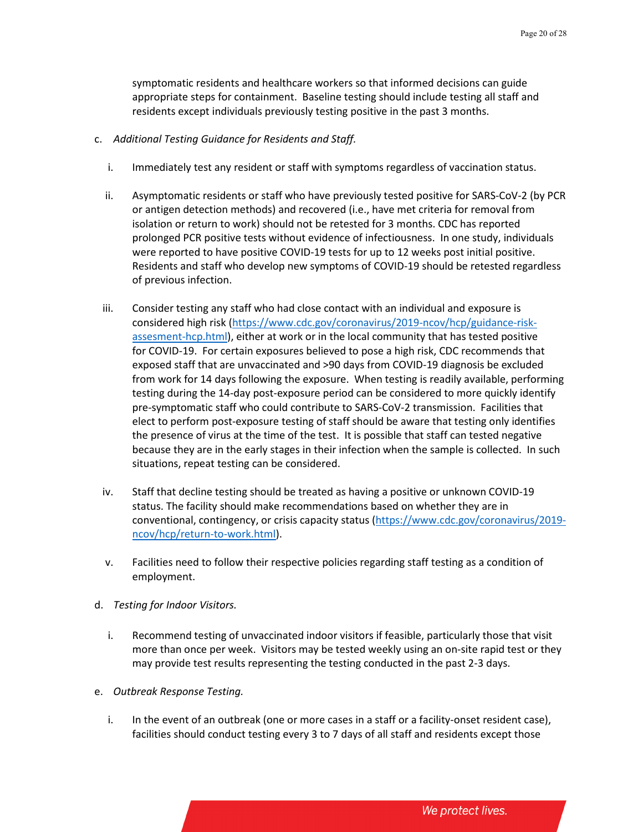symptomatic residents and healthcare workers so that informed decisions can guide appropriate steps for containment. Baseline testing should include testing all staff and residents except individuals previously testing positive in the past 3 months.

- c. *Additional Testing Guidance for Residents and Staff.*
	- i. Immediately test any resident or staff with symptoms regardless of vaccination status.
	- ii. Asymptomatic residents or staff who have previously tested positive for SARS-CoV-2 (by PCR or antigen detection methods) and recovered (i.e., have met criteria for removal from isolation or return to work) should not be retested for 3 months. CDC has reported prolonged PCR positive tests without evidence of infectiousness. In one study, individuals were reported to have positive COVID-19 tests for up to 12 weeks post initial positive. Residents and staff who develop new symptoms of COVID-19 should be retested regardless of previous infection.
	- iii. Consider testing any staff who had close contact with an individual and exposure is considered high risk (https://www.cdc.gov/coronavirus/2019-ncov/hcp/guidance-riskassesment-hcp.html), either at work or in the local community that has tested positive for COVID-19. For certain exposures believed to pose a high risk, CDC recommends that exposed staff that are unvaccinated and >90 days from COVID-19 diagnosis be excluded from work for 14 days following the exposure. When testing is readily available, performing testing during the 14-day post-exposure period can be considered to more quickly identify pre-symptomatic staff who could contribute to SARS-CoV-2 transmission. Facilities that elect to perform post-exposure testing of staff should be aware that testing only identifies the presence of virus at the time of the test. It is possible that staff can tested negative because they are in the early stages in their infection when the sample is collected. In such situations, repeat testing can be considered.
	- iv. Staff that decline testing should be treated as having a positive or unknown COVID-19 status. The facility should make recommendations based on whether they are in conventional, contingency, or crisis capacity status [\(https://www.cdc.gov/coronavirus/2019](https://www.cdc.gov/coronavirus/2019-ncov/hcp/return-to-work.html) [ncov/hcp/return-to-work.html\)](https://www.cdc.gov/coronavirus/2019-ncov/hcp/return-to-work.html).
	- v. Facilities need to follow their respective policies regarding staff testing as a condition of employment.
- d. *Testing for Indoor Visitors.*
	- i. Recommend testing of unvaccinated indoor visitors if feasible, particularly those that visit more than once per week. Visitors may be tested weekly using an on-site rapid test or they may provide test results representing the testing conducted in the past 2-3 days.
- e. *Outbreak Response Testing.*
	- i. In the event of an outbreak (one or more cases in a staff or a facility-onset resident case), facilities should conduct testing every 3 to 7 days of all staff and residents except those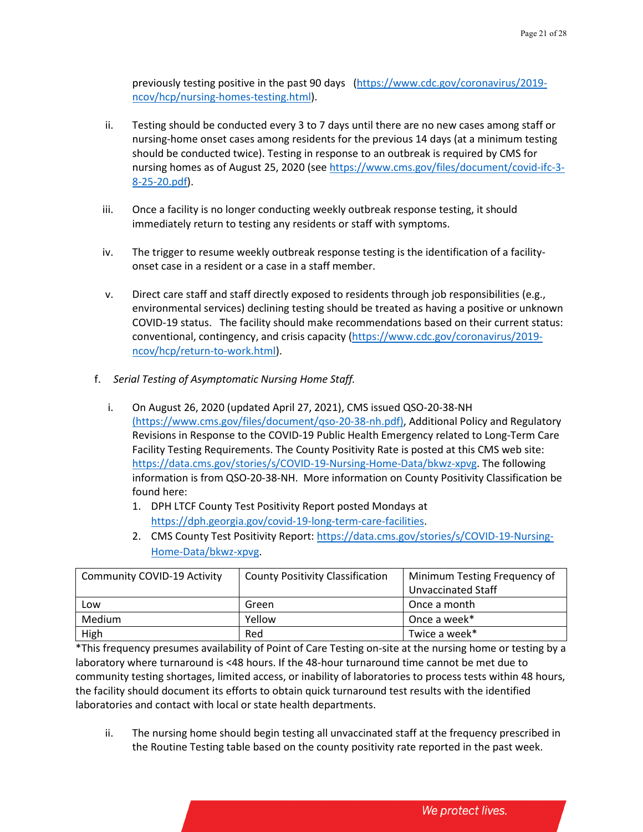previously testing positive in the past 90 days [\(https://www.cdc.gov/coronavirus/2019](https://www.cdc.gov/coronavirus/2019-ncov/hcp/nursing-homes-testing.html) [ncov/hcp/nursing-homes-testing.html\)](https://www.cdc.gov/coronavirus/2019-ncov/hcp/nursing-homes-testing.html).

- ii. Testing should be conducted every 3 to 7 days until there are no new cases among staff or nursing-home onset cases among residents for the previous 14 days (at a minimum testing should be conducted twice). Testing in response to an outbreak is required by CMS for nursing homes as of August 25, 2020 (see [https://www.cms.gov/files/document/covid-ifc-3-](https://www.cms.gov/files/document/covid-ifc-3-8-25-20.pdf) [8-25-20.pdf\)](https://www.cms.gov/files/document/covid-ifc-3-8-25-20.pdf).
- iii. Once a facility is no longer conducting weekly outbreak response testing, it should immediately return to testing any residents or staff with symptoms.
- iv. The trigger to resume weekly outbreak response testing is the identification of a facilityonset case in a resident or a case in a staff member.
- v. Direct care staff and staff directly exposed to residents through job responsibilities (e.g., environmental services) declining testing should be treated as having a positive or unknown COVID-19 status. The facility should make recommendations based on their current status: conventional, contingency, and crisis capacity [\(https://www.cdc.gov/coronavirus/2019](https://www.cdc.gov/coronavirus/2019-ncov/hcp/return-to-work.html) [ncov/hcp/return-to-work.html\)](https://www.cdc.gov/coronavirus/2019-ncov/hcp/return-to-work.html).
- f. *Serial Testing of Asymptomatic Nursing Home Staff.*
	- i. On August 26, 2020 (updated April 27, 2021), CMS issued QSO-20-38-NH (https://www.cms.gov/files/document/qso-20-38-nh.pdf), Additional Policy and Regulatory Revisions in Response to the COVID-19 Public Health Emergency related to Long-Term Care Facility Testing Requirements. The County Positivity Rate is posted at this CMS web site: [https://data.cms.gov/stories/s/COVID-19-Nursing-Home-Data/bkwz-xpvg.](https://data.cms.gov/stories/s/COVID-19-Nursing-Home-Data/bkwz-xpvg) The following information is from QSO-20-38-NH. More information on County Positivity Classification be found here:
		- 1. DPH LTCF County Test Positivity Report posted Mondays at [https://dph.georgia.gov/covid-19-long-term-care-facilities.](https://gcc01.safelinks.protection.outlook.com/?url=https%3A%2F%2Fdph.georgia.gov%2Fcovid-19-long-term-care-facilities&data=02%7C01%7Cmegan.andrews%40dph.ga.gov%7C7b62fc11d3e14fc0c4f308d86b8de5df%7C512da10d071b4b948abc9ec4044d1516%7C0%7C0%7C637377604469013913&sdata=la2REMIhaee73lv3oAKbtyBhC%2BhO3rnIVo3aJxmGlxY%3D&reserved=0)
		- 2. CMS County Test Positivity Report: [https://data.cms.gov/stories/s/COVID-19-Nursing-](https://data.cms.gov/stories/s/COVID-19-Nursing-Home-Data/bkwz-xpvg)[Home-Data/bkwz-xpvg.](https://data.cms.gov/stories/s/COVID-19-Nursing-Home-Data/bkwz-xpvg)

| <b>Community COVID-19 Activity</b> | <b>County Positivity Classification</b> | Minimum Testing Frequency of |
|------------------------------------|-----------------------------------------|------------------------------|
|                                    |                                         | Unvaccinated Staff           |
| Low                                | Green                                   | Once a month                 |
| Medium                             | Yellow                                  | Once a week*                 |
| High                               | Red                                     | Twice a week*                |

\*This frequency presumes availability of Point of Care Testing on-site at the nursing home or testing by a laboratory where turnaround is <48 hours. If the 48-hour turnaround time cannot be met due to community testing shortages, limited access, or inability of laboratories to process tests within 48 hours, the facility should document its efforts to obtain quick turnaround test results with the identified laboratories and contact with local or state health departments.

ii. The nursing home should begin testing all unvaccinated staff at the frequency prescribed in the Routine Testing table based on the county positivity rate reported in the past week.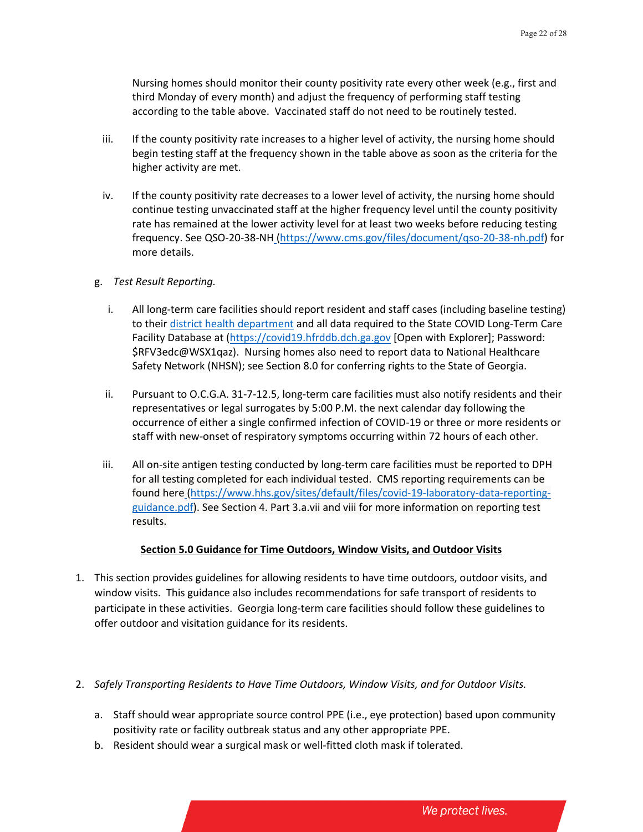Nursing homes should monitor their county positivity rate every other week (e.g., first and third Monday of every month) and adjust the frequency of performing staff testing according to the table above. Vaccinated staff do not need to be routinely tested.

- iii. If the county positivity rate increases to a higher level of activity, the nursing home should begin testing staff at the frequency shown in the table above as soon as the criteria for the higher activity are met.
- iv. If the county positivity rate decreases to a lower level of activity, the nursing home should continue testing unvaccinated staff at the higher frequency level until the county positivity rate has remained at the lower activity level for at least two weeks before reducing testing frequency. See QSO-20-38-NH (https://www.cms.gov/files/document/qso-20-38-nh.pdf) for more details.
- g. *Test Result Reporting.*
	- i. All long-term care facilities should report resident and staff cases (including baseline testing) to their [district health department](https://dph.georgia.gov/document/document/directory-district-epidemiologists/download) and all data required to the State COVID Long-Term Care Facility Database at (https://covid19.hfrddb.dch.ga.gov [Open with Explorer]; Password: \$RFV3edc@WSX1qaz). Nursing homes also need to report data to National Healthcare Safety Network (NHSN); see Section 8.0 for conferring rights to the State of Georgia.
	- ii. Pursuant to O.C.G.A. 31-7-12.5, long-term care facilities must also notify residents and their representatives or legal surrogates by 5:00 P.M. the next calendar day following the occurrence of either a single confirmed infection of COVID-19 or three or more residents or staff with new-onset of respiratory symptoms occurring within 72 hours of each other.
	- iii. All on-site antigen testing conducted by long-term care facilities must be reported to DPH for all testing completed for each individual tested. CMS reporting requirements can be found here (https://www.hhs.gov/sites/default/files/covid-19-laboratory-data-reportingguidance.pdf). See Section 4. Part 3.a.vii and viii for more information on reporting test results.

#### **Section 5.0 Guidance for Time Outdoors, Window Visits, and Outdoor Visits**

- 1. This section provides guidelines for allowing residents to have time outdoors, outdoor visits, and window visits. This guidance also includes recommendations for safe transport of residents to participate in these activities. Georgia long-term care facilities should follow these guidelines to offer outdoor and visitation guidance for its residents.
- 2. *Safely Transporting Residents to Have Time Outdoors, Window Visits, and for Outdoor Visits.*
	- a. Staff should wear appropriate source control PPE (i.e., eye protection) based upon community positivity rate or facility outbreak status and any other appropriate PPE.
	- b. Resident should wear a surgical mask or well-fitted cloth mask if tolerated.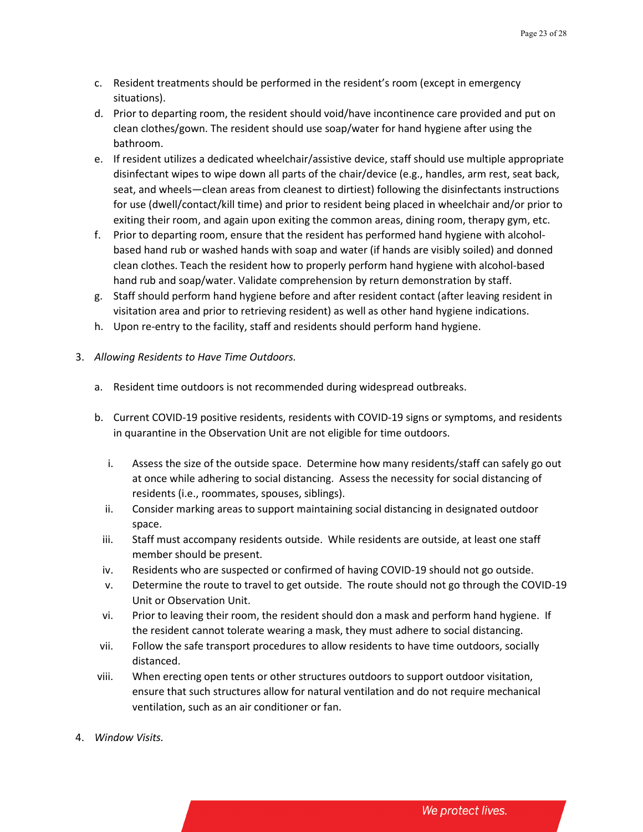- c. Resident treatments should be performed in the resident's room (except in emergency situations).
- d. Prior to departing room, the resident should void/have incontinence care provided and put on clean clothes/gown. The resident should use soap/water for hand hygiene after using the bathroom.
- e. If resident utilizes a dedicated wheelchair/assistive device, staff should use multiple appropriate disinfectant wipes to wipe down all parts of the chair/device (e.g., handles, arm rest, seat back, seat, and wheels—clean areas from cleanest to dirtiest) following the disinfectants instructions for use (dwell/contact/kill time) and prior to resident being placed in wheelchair and/or prior to exiting their room, and again upon exiting the common areas, dining room, therapy gym, etc.
- f. Prior to departing room, ensure that the resident has performed hand hygiene with alcoholbased hand rub or washed hands with soap and water (if hands are visibly soiled) and donned clean clothes. Teach the resident how to properly perform hand hygiene with alcohol-based hand rub and soap/water. Validate comprehension by return demonstration by staff.
- g. Staff should perform hand hygiene before and after resident contact (after leaving resident in visitation area and prior to retrieving resident) as well as other hand hygiene indications.
- h. Upon re-entry to the facility, staff and residents should perform hand hygiene.
- 3. *Allowing Residents to Have Time Outdoors.*
	- a. Resident time outdoors is not recommended during widespread outbreaks.
	- b. Current COVID-19 positive residents, residents with COVID-19 signs or symptoms, and residents in quarantine in the Observation Unit are not eligible for time outdoors.
		- i. Assess the size of the outside space. Determine how many residents/staff can safely go out at once while adhering to social distancing. Assess the necessity for social distancing of residents (i.e., roommates, spouses, siblings).
		- ii. Consider marking areas to support maintaining social distancing in designated outdoor space.
		- iii. Staff must accompany residents outside. While residents are outside, at least one staff member should be present.
		- iv. Residents who are suspected or confirmed of having COVID-19 should not go outside.
		- v. Determine the route to travel to get outside. The route should not go through the COVID-19 Unit or Observation Unit.
		- vi. Prior to leaving their room, the resident should don a mask and perform hand hygiene. If the resident cannot tolerate wearing a mask, they must adhere to social distancing.
	- vii. Follow the safe transport procedures to allow residents to have time outdoors, socially distanced.
	- viii. When erecting open tents or other structures outdoors to support outdoor visitation, ensure that such structures allow for natural ventilation and do not require mechanical ventilation, such as an air conditioner or fan.
- 4. *Window Visits.*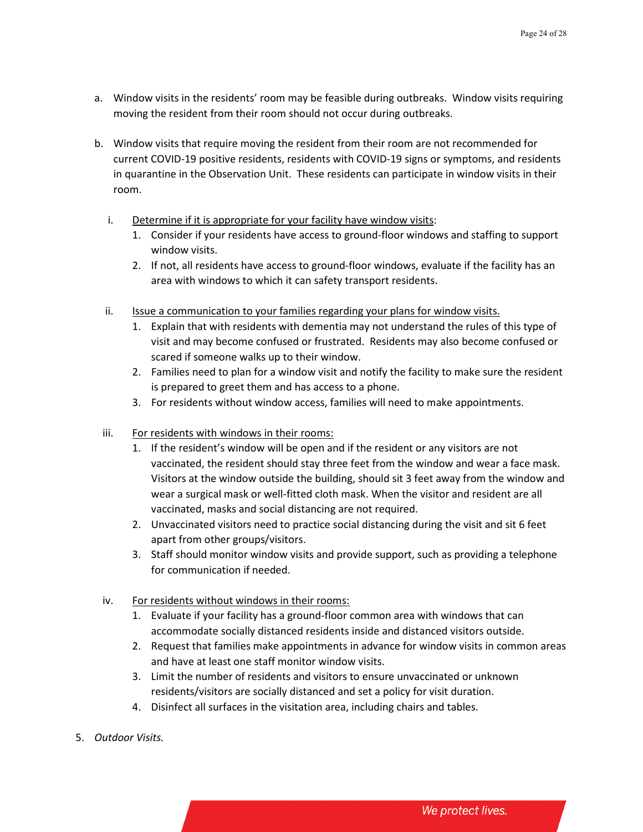- a. Window visits in the residents' room may be feasible during outbreaks. Window visits requiring moving the resident from their room should not occur during outbreaks.
- b. Window visits that require moving the resident from their room are not recommended for current COVID-19 positive residents, residents with COVID-19 signs or symptoms, and residents in quarantine in the Observation Unit. These residents can participate in window visits in their room.
	- i. Determine if it is appropriate for your facility have window visits:
		- 1. Consider if your residents have access to ground-floor windows and staffing to support window visits.
		- 2. If not, all residents have access to ground-floor windows, evaluate if the facility has an area with windows to which it can safety transport residents.
	- ii. Issue a communication to your families regarding your plans for window visits.
		- 1. Explain that with residents with dementia may not understand the rules of this type of visit and may become confused or frustrated. Residents may also become confused or scared if someone walks up to their window.
		- 2. Families need to plan for a window visit and notify the facility to make sure the resident is prepared to greet them and has access to a phone.
		- 3. For residents without window access, families will need to make appointments.
	- iii. For residents with windows in their rooms:
		- 1. If the resident's window will be open and if the resident or any visitors are not vaccinated, the resident should stay three feet from the window and wear a face mask. Visitors at the window outside the building, should sit 3 feet away from the window and wear a surgical mask or well-fitted cloth mask. When the visitor and resident are all vaccinated, masks and social distancing are not required.
		- 2. Unvaccinated visitors need to practice social distancing during the visit and sit 6 feet apart from other groups/visitors.
		- 3. Staff should monitor window visits and provide support, such as providing a telephone for communication if needed.
	- iv. For residents without windows in their rooms:
		- 1. Evaluate if your facility has a ground-floor common area with windows that can accommodate socially distanced residents inside and distanced visitors outside.
		- 2. Request that families make appointments in advance for window visits in common areas and have at least one staff monitor window visits.
		- 3. Limit the number of residents and visitors to ensure unvaccinated or unknown residents/visitors are socially distanced and set a policy for visit duration.
		- 4. Disinfect all surfaces in the visitation area, including chairs and tables.
- 5. *Outdoor Visits.*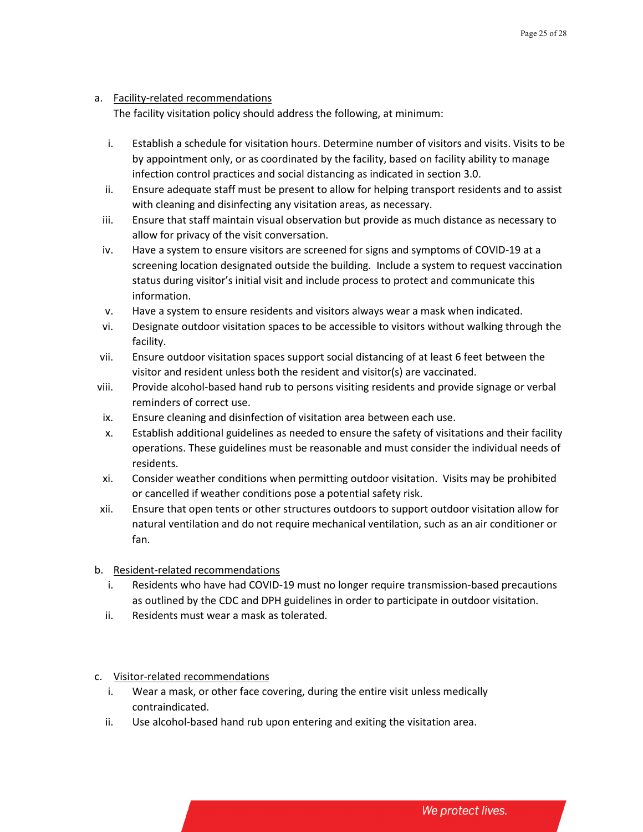# a. Facility-related recommendations

The facility visitation policy should address the following, at minimum:

- i. Establish a schedule for visitation hours. Determine number of visitors and visits. Visits to be by appointment only, or as coordinated by the facility, based on facility ability to manage infection control practices and social distancing as indicated in section 3.0.
- ii. Ensure adequate staff must be present to allow for helping transport residents and to assist with cleaning and disinfecting any visitation areas, as necessary.
- iii. Ensure that staff maintain visual observation but provide as much distance as necessary to allow for privacy of the visit conversation.
- iv. Have a system to ensure visitors are screened for signs and symptoms of COVID-19 at a screening location designated outside the building. Include a system to request vaccination status during visitor's initial visit and include process to protect and communicate this information.
- v. Have a system to ensure residents and visitors always wear a mask when indicated.
- vi. Designate outdoor visitation spaces to be accessible to visitors without walking through the facility.
- vii. Ensure outdoor visitation spaces support social distancing of at least 6 feet between the visitor and resident unless both the resident and visitor(s) are vaccinated.
- viii. Provide alcohol-based hand rub to persons visiting residents and provide signage or verbal reminders of correct use.
- ix. Ensure cleaning and disinfection of visitation area between each use.
- x. Establish additional guidelines as needed to ensure the safety of visitations and their facility operations. These guidelines must be reasonable and must consider the individual needs of residents.
- xi. Consider weather conditions when permitting outdoor visitation. Visits may be prohibited or cancelled if weather conditions pose a potential safety risk.
- xii. Ensure that open tents or other structures outdoors to support outdoor visitation allow for natural ventilation and do not require mechanical ventilation, such as an air conditioner or fan.
- b. Resident-related recommendations
	- i. Residents who have had COVID-19 must no longer require transmission-based precautions as outlined by the CDC and DPH guidelines in order to participate in outdoor visitation.
	- ii. Residents must wear a mask as tolerated.
- c. Visitor-related recommendations
	- i. Wear a mask, or other face covering, during the entire visit unless medically contraindicated.
	- ii. Use alcohol-based hand rub upon entering and exiting the visitation area.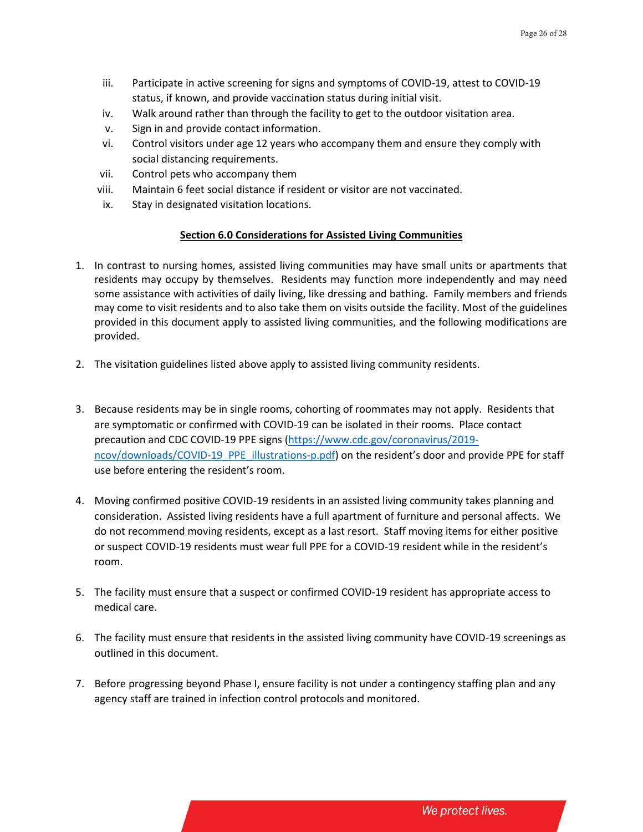- iii. Participate in active screening for signs and symptoms of COVID-19, attest to COVID-19 status, if known, and provide vaccination status during initial visit.
- iv. Walk around rather than through the facility to get to the outdoor visitation area.
- v. Sign in and provide contact information.
- vi. Control visitors under age 12 years who accompany them and ensure they comply with social distancing requirements.
- vii. Control pets who accompany them
- viii. Maintain 6 feet social distance if resident or visitor are not vaccinated.
- ix. Stay in designated visitation locations.

# **Section 6.0 Considerations for Assisted Living Communities**

- 1. In contrast to nursing homes, assisted living communities may have small units or apartments that residents may occupy by themselves. Residents may function more independently and may need some assistance with activities of daily living, like dressing and bathing. Family members and friends may come to visit residents and to also take them on visits outside the facility. Most of the guidelines provided in this document apply to assisted living communities, and the following modifications are provided.
- 2. The visitation guidelines listed above apply to assisted living community residents.
- 3. Because residents may be in single rooms, cohorting of roommates may not apply. Residents that are symptomatic or confirmed with COVID-19 can be isolated in their rooms. Place contact precaution and CDC COVID-19 PPE signs [\(https://www.cdc.gov/coronavirus/2019](https://www.cdc.gov/coronavirus/2019-ncov/downloads/COVID-19_PPE_illustrations-p.pdf) [ncov/downloads/COVID-19\\_PPE\\_illustrations-p.pdf\)](https://www.cdc.gov/coronavirus/2019-ncov/downloads/COVID-19_PPE_illustrations-p.pdf) on the resident's door and provide PPE for staff use before entering the resident's room.
- 4. Moving confirmed positive COVID-19 residents in an assisted living community takes planning and consideration. Assisted living residents have a full apartment of furniture and personal affects. We do not recommend moving residents, except as a last resort. Staff moving items for either positive or suspect COVID-19 residents must wear full PPE for a COVID-19 resident while in the resident's room.
- 5. The facility must ensure that a suspect or confirmed COVID-19 resident has appropriate access to medical care.
- 6. The facility must ensure that residents in the assisted living community have COVID-19 screenings as outlined in this document.
- 7. Before progressing beyond Phase I, ensure facility is not under a contingency staffing plan and any agency staff are trained in infection control protocols and monitored.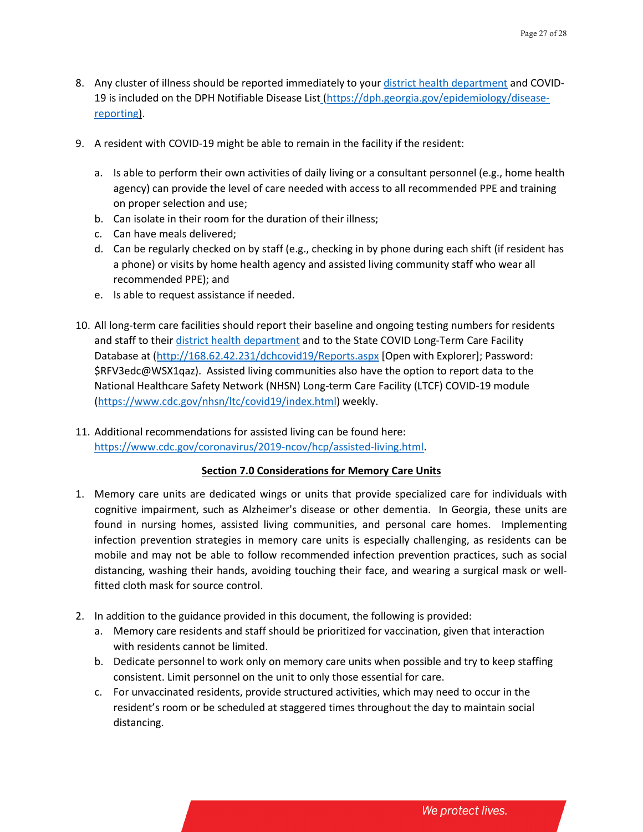- 8. Any cluster of illness should be reported immediately to you[r district health department](https://dph.georgia.gov/document/document/directory-district-epidemiologists/download) and COVID-19 is included on the DPH Notifiable Disease List [\(https://dph.georgia.gov/epidemiology/disease](https://dph.georgia.gov/epidemiology/disease-reporting)[reporting\)](https://dph.georgia.gov/epidemiology/disease-reporting).
- 9. A resident with COVID-19 might be able to remain in the facility if the resident:
	- a. Is able to perform their own activities of daily living or a consultant personnel (e.g., home health agency) can provide the level of care needed with access to all recommended PPE and training on proper selection and use;
	- b. Can isolate in their room for the duration of their illness;
	- c. Can have meals delivered;
	- d. Can be regularly checked on by staff (e.g., checking in by phone during each shift (if resident has a phone) or visits by home health agency and assisted living community staff who wear all recommended PPE); and
	- e. Is able to request assistance if needed.
- 10. All long-term care facilities should report their baseline and ongoing testing numbers for residents and staff to thei[r district health department](https://dph.georgia.gov/document/document/directory-district-epidemiologists/download) and to the State COVID Long-Term Care Facility Database at [\(http://168.62.42.231/dchcovid19/Reports.aspx](http://168.62.42.231/dchcovid19/Reports.aspx) [Open with Explorer]; Password: \$RFV3edc@WSX1qaz). Assisted living communities also have the option to report data to the National Healthcare Safety Network (NHSN) Long-term Care Facility (LTCF) COVID-19 module [\(https://www.cdc.gov/nhsn/ltc/covid19/index.html\)](https://www.cdc.gov/nhsn/ltc/covid19/index.html) weekly.
- 11. Additional recommendations for assisted living can be found here: [https://www.cdc.gov/coronavirus/2019-ncov/hcp/assisted-living.html.](https://www.cdc.gov/coronavirus/2019-ncov/hcp/assisted-living.html)

# **Section 7.0 Considerations for Memory Care Units**

- 1. Memory care units are dedicated wings or units that provide specialized care for individuals with cognitive impairment, such as Alzheimer's disease or other dementia. In Georgia, these units are found in nursing homes, assisted living communities, and personal care homes. Implementing infection prevention strategies in memory care units is especially challenging, as residents can be mobile and may not be able to follow recommended infection prevention practices, such as social distancing, washing their hands, avoiding touching their face, and wearing a surgical mask or wellfitted cloth mask for source control.
- 2. In addition to the guidance provided in this document, the following is provided:
	- a. Memory care residents and staff should be prioritized for vaccination, given that interaction with residents cannot be limited.
	- b. Dedicate personnel to work only on memory care units when possible and try to keep staffing consistent. Limit personnel on the unit to only those essential for care.
	- c. For unvaccinated residents, provide structured activities, which may need to occur in the resident's room or be scheduled at staggered times throughout the day to maintain social distancing.